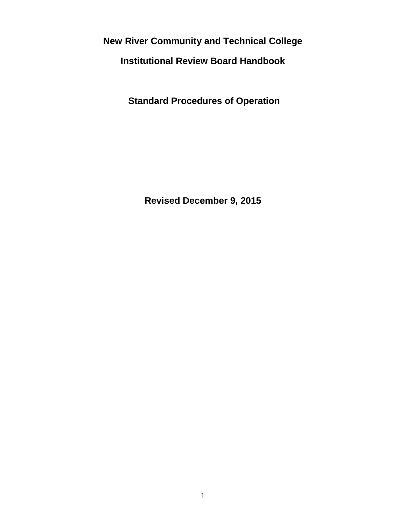**New River Community and Technical College** 

**Institutional Review Board Handbook**

**Standard Procedures of Operation** 

**Revised December 9, 2015**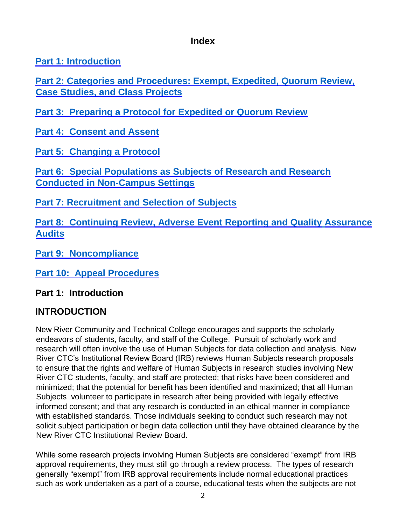### **Index**

**[Part 1: Introduction](#page-1-0)**

**[Part 2: Categories and Procedures: Exempt, Expedited, Quorum Review,](#page-10-0)  [Case Studies, and Class Projects](#page-10-0)** 

**[Part 3: Preparing a Protocol for Expedited or Quorum Review](#page-18-0)**

**[Part 4: Consent and Assent](#page-24-0)**

**[Part 5: Changing a Protocol](#page-33-0)**

**[Part 6: Special Populations as Subjects of Research and Research](#page-35-0) [Conducted in Non-Campus Settings](#page-35-0)**

**[Part 7: Recruitment and Selection of Subjects](#page-44-0)**

**[Part 8: Continuing Review, Adverse Event Reporting and Quality](#page-46-0) Assurance [Audits](#page-46-0)**

**[Part 9: Noncompliance](#page-48-0)**

**[Part 10: Appeal Procedures](#page-51-0)**

<span id="page-1-0"></span>**Part 1: Introduction** 

# **INTRODUCTION**

New River Community and Technical College encourages and supports the scholarly endeavors of students, faculty, and staff of the College. Pursuit of scholarly work and research will often involve the use of Human Subjects for data collection and analysis. New River CTC's Institutional Review Board (IRB) reviews Human Subjects research proposals to ensure that the rights and welfare of Human Subjects in research studies involving New River CTC students, faculty, and staff are protected; that risks have been considered and minimized; that the potential for benefit has been identified and maximized; that all Human Subjects volunteer to participate in research after being provided with legally effective informed consent; and that any research is conducted in an ethical manner in compliance with established standards. Those individuals seeking to conduct such research may not solicit subject participation or begin data collection until they have obtained clearance by the New River CTC Institutional Review Board.

While some research projects involving Human Subjects are considered "exempt" from IRB approval requirements, they must still go through a review process. The types of research generally "exempt" from IRB approval requirements include normal educational practices such as work undertaken as a part of a course, educational tests when the subjects are not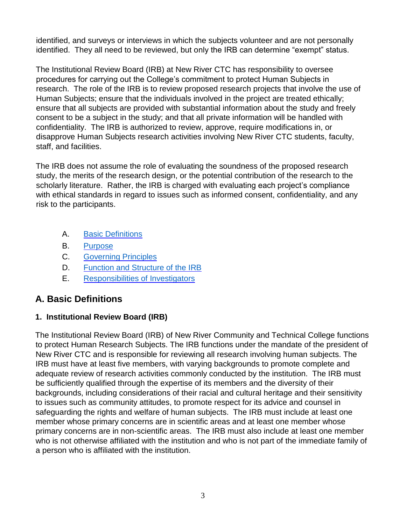identified, and surveys or interviews in which the subjects volunteer and are not personally identified. They all need to be reviewed, but only the IRB can determine "exempt" status.

The Institutional Review Board (IRB) at New River CTC has responsibility to oversee procedures for carrying out the College's commitment to protect Human Subjects in research. The role of the IRB is to review proposed research projects that involve the use of Human Subjects; ensure that the individuals involved in the project are treated ethically; ensure that all subjects are provided with substantial information about the study and freely consent to be a subject in the study; and that all private information will be handled with confidentiality. The IRB is authorized to review, approve, require modifications in, or disapprove Human Subjects research activities involving New River CTC students, faculty, staff, and facilities.

The IRB does not assume the role of evaluating the soundness of the proposed research study, the merits of the research design, or the potential contribution of the research to the scholarly literature. Rather, the IRB is charged with evaluating each project's compliance with ethical standards in regard to issues such as informed consent, confidentiality, and any risk to the participants.

- A. [Basic Definitions](#page-2-0)
- B. [Purpose](#page-3-0)
- C. [Governing Principles](#page-3-1)
- D. [Function and Structure of the IRB](#page-5-0)
- E. [Responsibilities of Investigators](#page-8-0)

# <span id="page-2-0"></span>**A. Basic Definitions**

### **1. Institutional Review Board (IRB)**

The Institutional Review Board (IRB) of New River Community and Technical College functions to protect Human Research Subjects. The IRB functions under the mandate of the president of New River CTC and is responsible for reviewing all research involving human subjects. The IRB must have at least five members, with varying backgrounds to promote complete and adequate review of research activities commonly conducted by the institution. The IRB must be sufficiently qualified through the expertise of its members and the diversity of their backgrounds, including considerations of their racial and cultural heritage and their sensitivity to issues such as community attitudes, to promote respect for its advice and counsel in safeguarding the rights and welfare of human subjects. The IRB must include at least one member whose primary concerns are in scientific areas and at least one member whose primary concerns are in non-scientific areas. The IRB must also include at least one member who is not otherwise affiliated with the institution and who is not part of the immediate family of a person who is affiliated with the institution.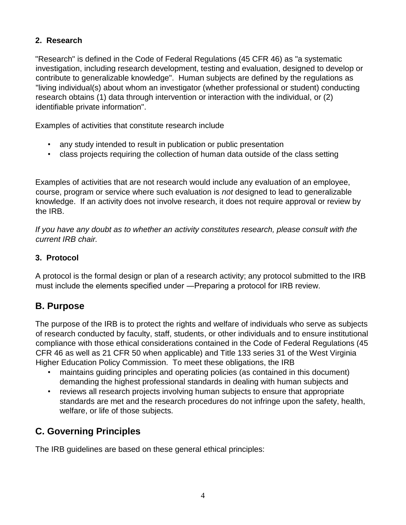### **2. Research**

"Research" is defined in the Code of Federal Regulations (45 CFR 46) as "a systematic investigation, including research development, testing and evaluation, designed to develop or contribute to generalizable knowledge". Human subjects are defined by the regulations as "living individual(s) about whom an investigator (whether professional or student) conducting research obtains (1) data through intervention or interaction with the individual, or (2) identifiable private information".

Examples of activities that constitute research include

- any study intended to result in publication or public presentation
- class projects requiring the collection of human data outside of the class setting

Examples of activities that are not research would include any evaluation of an employee, course, program or service where such evaluation is *not* designed to lead to generalizable knowledge. If an activity does not involve research, it does not require approval or review by the IRB.

*If you have any doubt as to whether an activity constitutes research, please consult with the current IRB chair.*

### **3. Protocol**

A protocol is the formal design or plan of a research activity; any protocol submitted to the IRB must include the elements specified under ―Preparing a protocol for IRB review.

## <span id="page-3-0"></span>**B. Purpose**

The purpose of the IRB is to protect the rights and welfare of individuals who serve as subjects of research conducted by faculty, staff, students, or other individuals and to ensure institutional compliance with those ethical considerations contained in the Code of Federal Regulations (45 CFR 46 as well as 21 CFR 50 when applicable) and Title 133 series 31 of the West Virginia Higher Education Policy Commission. To meet these obligations, the IRB

- maintains guiding principles and operating policies (as contained in this document) demanding the highest professional standards in dealing with human subjects and
- reviews all research projects involving human subjects to ensure that appropriate standards are met and the research procedures do not infringe upon the safety, health, welfare, or life of those subjects.

# <span id="page-3-1"></span>**C. Governing Principles**

The IRB guidelines are based on these general ethical principles: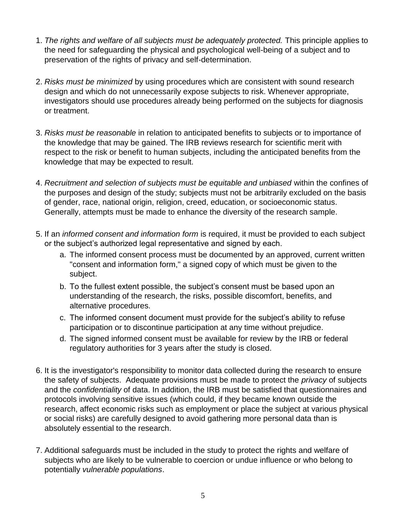- 1. *The rights and welfare of all subjects must be adequately protected.* This principle applies to the need for safeguarding the physical and psychological well-being of a subject and to preservation of the rights of privacy and self-determination.
- 2. *Risks must be minimized* by using procedures which are consistent with sound research design and which do not unnecessarily expose subjects to risk. Whenever appropriate, investigators should use procedures already being performed on the subjects for diagnosis or treatment.
- 3. *Risks must be reasonable* in relation to anticipated benefits to subjects or to importance of the knowledge that may be gained. The IRB reviews research for scientific merit with respect to the risk or benefit to human subjects, including the anticipated benefits from the knowledge that may be expected to result.
- 4. *Recruitment and selection of subjects must be equitable and unbiased* within the confines of the purposes and design of the study; subjects must not be arbitrarily excluded on the basis of gender, race, national origin, religion, creed, education, or socioeconomic status. Generally, attempts must be made to enhance the diversity of the research sample.
- 5. If an *informed consent and information form* is required, it must be provided to each subject or the subject's authorized legal representative and signed by each.
	- a. The informed consent process must be documented by an approved, current written "consent and information form," a signed copy of which must be given to the subject.
	- b. To the fullest extent possible, the subject's consent must be based upon an understanding of the research, the risks, possible discomfort, benefits, and alternative procedures.
	- c. The informed consent document must provide for the subject's ability to refuse participation or to discontinue participation at any time without prejudice.
	- d. The signed informed consent must be available for review by the IRB or federal regulatory authorities for 3 years after the study is closed.
- 6. It is the investigator's responsibility to monitor data collected during the research to ensure the safety of subjects. Adequate provisions must be made to protect the *privacy* of subjects and the *confidentiality* of data. In addition, the IRB must be satisfied that questionnaires and protocols involving sensitive issues (which could, if they became known outside the research, affect economic risks such as employment or place the subject at various physical or social risks) are carefully designed to avoid gathering more personal data than is absolutely essential to the research.
- 7. Additional safeguards must be included in the study to protect the rights and welfare of subjects who are likely to be vulnerable to coercion or undue influence or who belong to potentially *vulnerable populations*.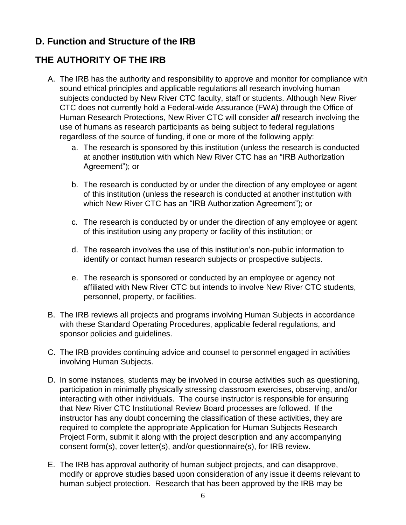# <span id="page-5-0"></span>**D. Function and Structure of the IRB**

# **THE AUTHORITY OF THE IRB**

- A. The IRB has the authority and responsibility to approve and monitor for compliance with sound ethical principles and applicable regulations all research involving human subjects conducted by New River CTC faculty, staff or students. Although New River CTC does not currently hold a Federal-wide Assurance (FWA) through the Office of Human Research Protections, New River CTC will consider *all* research involving the use of humans as research participants as being subject to federal regulations regardless of the source of funding, if one or more of the following apply:
	- a. The research is sponsored by this institution (unless the research is conducted at another institution with which New River CTC has an "IRB Authorization Agreement"); or
	- b. The research is conducted by or under the direction of any employee or agent of this institution (unless the research is conducted at another institution with which New River CTC has an "IRB Authorization Agreement"); or
	- c. The research is conducted by or under the direction of any employee or agent of this institution using any property or facility of this institution; or
	- d. The research involves the use of this institution's non-public information to identify or contact human research subjects or prospective subjects.
	- e. The research is sponsored or conducted by an employee or agency not affiliated with New River CTC but intends to involve New River CTC students, personnel, property, or facilities.
- B. The IRB reviews all projects and programs involving Human Subjects in accordance with these Standard Operating Procedures, applicable federal regulations, and sponsor policies and guidelines.
- C. The IRB provides continuing advice and counsel to personnel engaged in activities involving Human Subjects.
- D. In some instances, students may be involved in course activities such as questioning, participation in minimally physically stressing classroom exercises, observing, and/or interacting with other individuals. The course instructor is responsible for ensuring that New River CTC Institutional Review Board processes are followed. If the instructor has any doubt concerning the classification of these activities, they are required to complete the appropriate Application for Human Subjects Research Project Form, submit it along with the project description and any accompanying consent form(s), cover letter(s), and/or questionnaire(s), for IRB review.
- E. The IRB has approval authority of human subject projects, and can disapprove, modify or approve studies based upon consideration of any issue it deems relevant to human subject protection. Research that has been approved by the IRB may be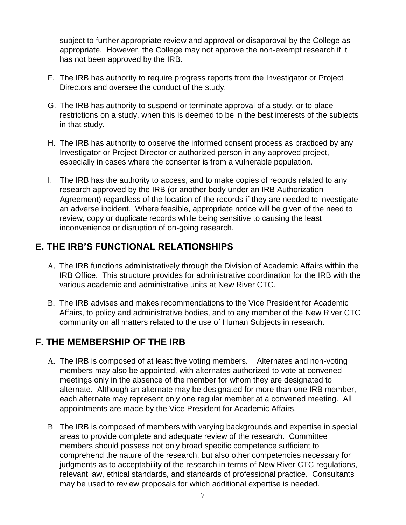subject to further appropriate review and approval or disapproval by the College as appropriate. However, the College may not approve the non-exempt research if it has not been approved by the IRB.

- F. The IRB has authority to require progress reports from the Investigator or Project Directors and oversee the conduct of the study.
- G. The IRB has authority to suspend or terminate approval of a study, or to place restrictions on a study, when this is deemed to be in the best interests of the subjects in that study.
- H. The IRB has authority to observe the informed consent process as practiced by any Investigator or Project Director or authorized person in any approved project, especially in cases where the consenter is from a vulnerable population.
- I. The IRB has the authority to access, and to make copies of records related to any research approved by the IRB (or another body under an IRB Authorization Agreement) regardless of the location of the records if they are needed to investigate an adverse incident. Where feasible, appropriate notice will be given of the need to review, copy or duplicate records while being sensitive to causing the least inconvenience or disruption of on-going research.

# **E. THE IRB'S FUNCTIONAL RELATIONSHIPS**

- A. The IRB functions administratively through the Division of Academic Affairs within the IRB Office. This structure provides for administrative coordination for the IRB with the various academic and administrative units at New River CTC.
- B. The IRB advises and makes recommendations to the Vice President for Academic Affairs, to policy and administrative bodies, and to any member of the New River CTC community on all matters related to the use of Human Subjects in research.

## **F. THE MEMBERSHIP OF THE IRB**

- A. The IRB is composed of at least five voting members. Alternates and non-voting members may also be appointed, with alternates authorized to vote at convened meetings only in the absence of the member for whom they are designated to alternate. Although an alternate may be designated for more than one IRB member, each alternate may represent only one regular member at a convened meeting. All appointments are made by the Vice President for Academic Affairs.
- B. The IRB is composed of members with varying backgrounds and expertise in special areas to provide complete and adequate review of the research. Committee members should possess not only broad specific competence sufficient to comprehend the nature of the research, but also other competencies necessary for judgments as to acceptability of the research in terms of New River CTC regulations, relevant law, ethical standards, and standards of professional practice. Consultants may be used to review proposals for which additional expertise is needed.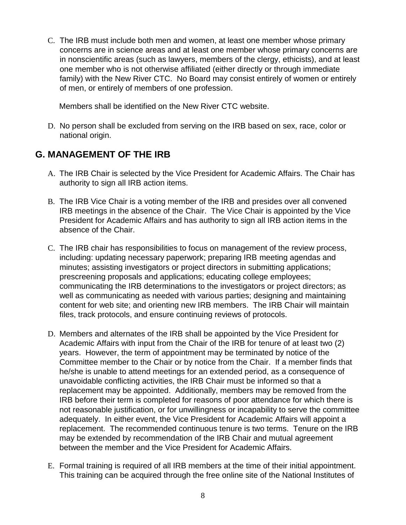C. The IRB must include both men and women, at least one member whose primary concerns are in science areas and at least one member whose primary concerns are in nonscientific areas (such as lawyers, members of the clergy, ethicists), and at least one member who is not otherwise affiliated (either directly or through immediate family) with the New River CTC. No Board may consist entirely of women or entirely of men, or entirely of members of one profession.

Members shall be identified on the New River CTC website.

D. No person shall be excluded from serving on the IRB based on sex, race, color or national origin.

### **G. MANAGEMENT OF THE IRB**

- A. The IRB Chair is selected by the Vice President for Academic Affairs. The Chair has authority to sign all IRB action items.
- B. The IRB Vice Chair is a voting member of the IRB and presides over all convened IRB meetings in the absence of the Chair. The Vice Chair is appointed by the Vice President for Academic Affairs and has authority to sign all IRB action items in the absence of the Chair.
- C. The IRB chair has responsibilities to focus on management of the review process, including: updating necessary paperwork; preparing IRB meeting agendas and minutes; assisting investigators or project directors in submitting applications; prescreening proposals and applications; educating college employees; communicating the IRB determinations to the investigators or project directors; as well as communicating as needed with various parties; designing and maintaining content for web site; and orienting new IRB members. The IRB Chair will maintain files, track protocols, and ensure continuing reviews of protocols.
- D. Members and alternates of the IRB shall be appointed by the Vice President for Academic Affairs with input from the Chair of the IRB for tenure of at least two (2) years. However, the term of appointment may be terminated by notice of the Committee member to the Chair or by notice from the Chair. If a member finds that he/she is unable to attend meetings for an extended period, as a consequence of unavoidable conflicting activities, the IRB Chair must be informed so that a replacement may be appointed. Additionally, members may be removed from the IRB before their term is completed for reasons of poor attendance for which there is not reasonable justification, or for unwillingness or incapability to serve the committee adequately. In either event, the Vice President for Academic Affairs will appoint a replacement. The recommended continuous tenure is two terms. Tenure on the IRB may be extended by recommendation of the IRB Chair and mutual agreement between the member and the Vice President for Academic Affairs.
- E. Formal training is required of all IRB members at the time of their initial appointment. This training can be acquired through the free online site of the National Institutes of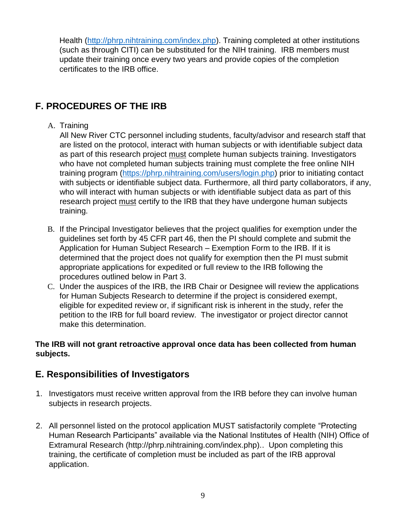Health [\(http://phrp.nihtraining.com/index.php\)](http://phrp.nihtraining.com/index.php). Training completed at other institutions (such as through CITI) can be substituted for the NIH training. IRB members must update their training once every two years and provide copies of the completion certificates to the IRB office.

# **F. PROCEDURES OF THE IRB**

### A. Training

All New River CTC personnel including students, faculty/advisor and research staff that are listed on the protocol, interact with human subjects or with identifiable subject data as part of this research project must complete human subjects training. Investigators who have not completed human subjects training must complete the free online NIH training program [\(https://phrp.nihtraining.com/users/login.php\)](https://phrp.nihtraining.com/users/login.php) prior to initiating contact with subjects or identifiable subject data. Furthermore, all third party collaborators, if any, who will interact with human subjects or with identifiable subject data as part of this research project must certify to the IRB that they have undergone human subjects training.

- B. If the Principal Investigator believes that the project qualifies for exemption under the guidelines set forth by 45 CFR part 46, then the PI should complete and submit the Application for Human Subject Research – Exemption Form to the IRB. If it is determined that the project does not qualify for exemption then the PI must submit appropriate applications for expedited or full review to the IRB following the procedures outlined below in Part 3.
- C. Under the auspices of the IRB, the IRB Chair or Designee will review the applications for Human Subjects Research to determine if the project is considered exempt, eligible for expedited review or, if significant risk is inherent in the study, refer the petition to the IRB for full board review. The investigator or project director cannot make this determination.

#### **The IRB will not grant retroactive approval once data has been collected from human subjects.**

### <span id="page-8-0"></span>**E. Responsibilities of Investigators**

- 1. Investigators must receive written approval from the IRB before they can involve human subjects in research projects.
- 2. All personnel listed on the protocol application MUST satisfactorily complete "Protecting Human Research Participants" available via the National Institutes of Health (NIH) Office of Extramural Research (http://phrp.nihtraining.com/index.php).. Upon completing this training, the certificate of completion must be included as part of the IRB approval application.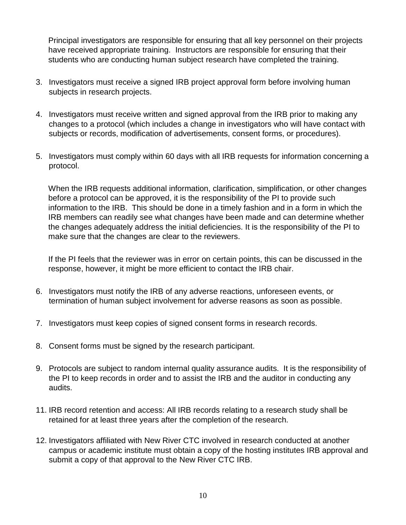Principal investigators are responsible for ensuring that all key personnel on their projects have received appropriate training. Instructors are responsible for ensuring that their students who are conducting human subject research have completed the training.

- 3. Investigators must receive a signed IRB project approval form before involving human subjects in research projects.
- 4. Investigators must receive written and signed approval from the IRB prior to making any changes to a protocol (which includes a change in investigators who will have contact with subjects or records, modification of advertisements, consent forms, or procedures).
- 5. Investigators must comply within 60 days with all IRB requests for information concerning a protocol.

When the IRB requests additional information, clarification, simplification, or other changes before a protocol can be approved, it is the responsibility of the PI to provide such information to the IRB. This should be done in a timely fashion and in a form in which the IRB members can readily see what changes have been made and can determine whether the changes adequately address the initial deficiencies. It is the responsibility of the PI to make sure that the changes are clear to the reviewers.

If the PI feels that the reviewer was in error on certain points, this can be discussed in the response, however, it might be more efficient to contact the IRB chair.

- 6. Investigators must notify the IRB of any adverse reactions, unforeseen events, or termination of human subject involvement for adverse reasons as soon as possible.
- 7. Investigators must keep copies of signed consent forms in research records.
- 8. Consent forms must be signed by the research participant.
- 9. Protocols are subject to random internal quality assurance audits. It is the responsibility of the PI to keep records in order and to assist the IRB and the auditor in conducting any audits.
- 11. IRB record retention and access: All IRB records relating to a research study shall be retained for at least three years after the completion of the research.
- 12. Investigators affiliated with New River CTC involved in research conducted at another campus or academic institute must obtain a copy of the hosting institutes IRB approval and submit a copy of that approval to the New River CTC IRB.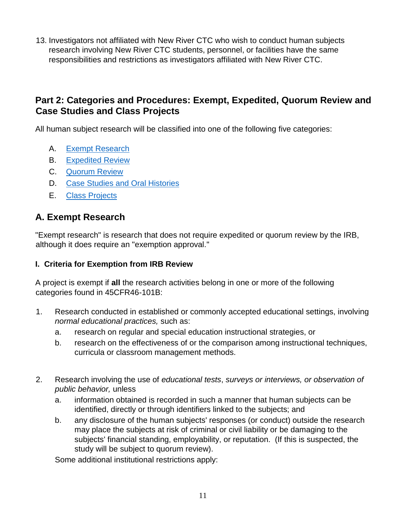13. Investigators not affiliated with New River CTC who wish to conduct human subjects research involving New River CTC students, personnel, or facilities have the same responsibilities and restrictions as investigators affiliated with New River CTC.

## <span id="page-10-0"></span>**Part 2: Categories and Procedures: Exempt, Expedited, Quorum Review and Case Studies and Class Projects**

All human subject research will be classified into one of the following five categories:

- A. [Exempt Research](#page-10-1)
- B. [Expedited Review](#page-12-0)
- C. [Quorum Review](#page-15-0)
- D. [Case Studies and Oral Histories](#page-16-0)
- E. [Class Projects](#page-16-1)

### <span id="page-10-1"></span>**A. Exempt Research**

"Exempt research" is research that does not require expedited or quorum review by the IRB, although it does require an "exemption approval."

### **I. Criteria for Exemption from IRB Review**

A project is exempt if **all** the research activities belong in one or more of the following categories found in 45CFR46-101B:

- 1. Research conducted in established or commonly accepted educational settings, involving *normal educational practices,* such as:
	- a. research on regular and special education instructional strategies, or
	- b. research on the effectiveness of or the comparison among instructional techniques, curricula or classroom management methods.
- 2. Research involving the use of *educational tests*, *surveys or interviews, or observation of public behavior,* unless
	- a. information obtained is recorded in such a manner that human subjects can be identified, directly or through identifiers linked to the subjects; and
	- b. any disclosure of the human subjects' responses (or conduct) outside the research may place the subjects at risk of criminal or civil liability or be damaging to the subjects' financial standing, employability, or reputation. (If this is suspected, the study will be subject to quorum review).

Some additional institutional restrictions apply: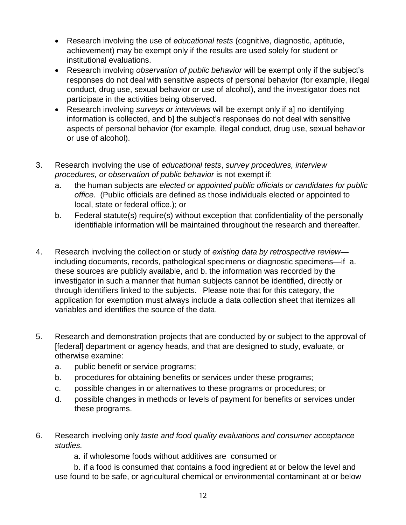- Research involving the use of *educational tests* (cognitive, diagnostic, aptitude, achievement) may be exempt only if the results are used solely for student or institutional evaluations.
- Research involving *observation of public behavior* will be exempt only if the subject's responses do not deal with sensitive aspects of personal behavior (for example, illegal conduct, drug use, sexual behavior or use of alcohol), and the investigator does not participate in the activities being observed.
- Research involving *surveys or interviews* will be exempt only if a] no identifying information is collected, and b] the subject's responses do not deal with sensitive aspects of personal behavior (for example, illegal conduct, drug use, sexual behavior or use of alcohol).
- 3. Research involving the use of *educational tests*, *survey procedures, interview procedures, or observation of public behavior* is not exempt if:
	- a. the human subjects are *elected or appointed public officials or candidates for public office.* (Public officials are defined as those individuals elected or appointed to local, state or federal office.); or
	- b. Federal statute(s) require(s) without exception that confidentiality of the personally identifiable information will be maintained throughout the research and thereafter.
- 4. Research involving the collection or study of *existing data by retrospective review* including documents, records, pathological specimens or diagnostic specimens—if a. these sources are publicly available, and b. the information was recorded by the investigator in such a manner that human subjects cannot be identified, directly or through identifiers linked to the subjects. Please note that for this category, the application for exemption must always include a data collection sheet that itemizes all variables and identifies the source of the data.
- 5. Research and demonstration projects that are conducted by or subject to the approval of [federal] department or agency heads, and that are designed to study, evaluate, or otherwise examine:
	- a. public benefit or service programs;
	- b. procedures for obtaining benefits or services under these programs;
	- c. possible changes in or alternatives to these programs or procedures; or
	- d. possible changes in methods or levels of payment for benefits or services under these programs.
- 6. Research involving only *taste and food quality evaluations and consumer acceptance studies.*

a. if wholesome foods without additives are consumed or

b. if a food is consumed that contains a food ingredient at or below the level and use found to be safe, or agricultural chemical or environmental contaminant at or below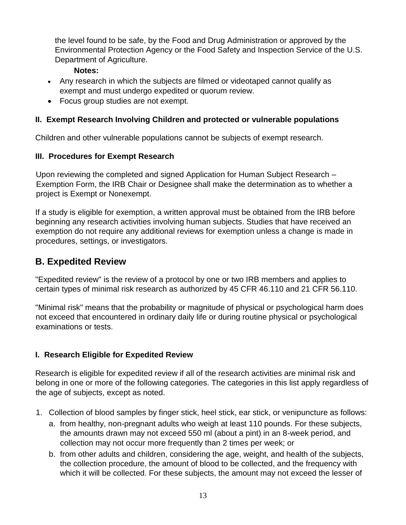the level found to be safe, by the Food and Drug Administration or approved by the Environmental Protection Agency or the Food Safety and Inspection Service of the U.S. Department of Agriculture.

#### **Notes:**

- Any research in which the subjects are filmed or videotaped cannot qualify as exempt and must undergo expedited or quorum review.
- Focus group studies are not exempt.

#### **II. Exempt Research Involving Children and protected or vulnerable populations**

Children and other vulnerable populations cannot be subjects of exempt research.

#### **III. Procedures for Exempt Research**

Upon reviewing the completed and signed Application for Human Subject Research – Exemption Form, the IRB Chair or Designee shall make the determination as to whether a project is Exempt or Nonexempt.

If a study is eligible for exemption, a written approval must be obtained from the IRB before beginning any research activities involving human subjects. Studies that have received an exemption do not require any additional reviews for exemption unless a change is made in procedures, settings, or investigators.

## <span id="page-12-0"></span>**B. Expedited Review**

"Expedited review" is the review of a protocol by one or two IRB members and applies to certain types of minimal risk research as authorized by 45 CFR 46.110 and 21 CFR 56.110.

"Minimal risk" means that the probability or magnitude of physical or psychological harm does not exceed that encountered in ordinary daily life or during routine physical or psychological examinations or tests.

#### **I. Research Eligible for Expedited Review**

Research is eligible for expedited review if all of the research activities are minimal risk and belong in one or more of the following categories. The categories in this list apply regardless of the age of subjects, except as noted.

- 1. Collection of blood samples by finger stick, heel stick, ear stick, or venipuncture as follows:
	- a. from healthy, non-pregnant adults who weigh at least 110 pounds. For these subjects, the amounts drawn may not exceed 550 ml (about a pint) in an 8-week period, and collection may not occur more frequently than 2 times per week; or
	- b. from other adults and children, considering the age, weight, and health of the subjects, the collection procedure, the amount of blood to be collected, and the frequency with which it will be collected. For these subjects, the amount may not exceed the lesser of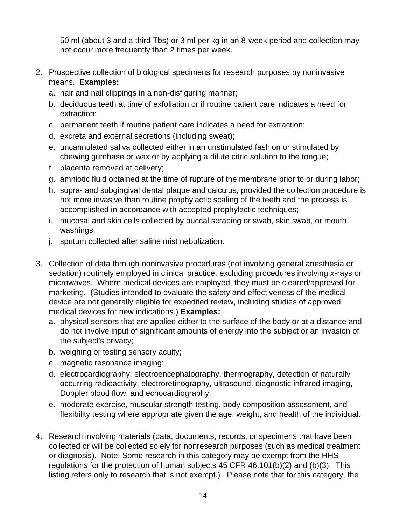50 ml (about 3 and a third Tbs) or 3 ml per kg in an 8-week period and collection may not occur more frequently than 2 times per week.

- 2. Prospective collection of biological specimens for research purposes by noninvasive means. **Examples:** 
	- a. hair and nail clippings in a non-disfiguring manner;
	- b. deciduous teeth at time of exfoliation or if routine patient care indicates a need for extraction;
	- c. permanent teeth if routine patient care indicates a need for extraction;
	- d. excreta and external secretions (including sweat);
	- e. uncannulated saliva collected either in an unstimulated fashion or stimulated by chewing gumbase or wax or by applying a dilute citric solution to the tongue;
	- f. placenta removed at delivery;
	- g. amniotic fluid obtained at the time of rupture of the membrane prior to or during labor;
	- h. supra- and subgingival dental plaque and calculus, provided the collection procedure is not more invasive than routine prophylactic scaling of the teeth and the process is accomplished in accordance with accepted prophylactic techniques;
	- i. mucosal and skin cells collected by buccal scraping or swab, skin swab, or mouth washings;
	- j. sputum collected after saline mist nebulization.
- 3. Collection of data through noninvasive procedures (not involving general anesthesia or sedation) routinely employed in clinical practice, excluding procedures involving x-rays or microwaves. Where medical devices are employed, they must be cleared/approved for marketing. (Studies intended to evaluate the safety and effectiveness of the medical device are not generally eligible for expedited review, including studies of approved medical devices for new indications.) **Examples:**
	- a. physical sensors that are applied either to the surface of the body or at a distance and do not involve input of significant amounts of energy into the subject or an invasion of the subject's privacy;
	- b. weighing or testing sensory acuity;
	- c. magnetic resonance imaging;
	- d. electrocardiography, electroencephalography, thermography, detection of naturally occurring radioactivity, electroretinography, ultrasound, diagnostic infrared imaging, Doppler blood flow, and echocardiography;
	- e. moderate exercise, muscular strength testing, body composition assessment, and flexibility testing where appropriate given the age, weight, and health of the individual.
- 4. Research involving materials (data, documents, records, or specimens that have been collected or will be collected solely for nonresearch purposes (such as medical treatment or diagnosis). Note: Some research in this category may be exempt from the HHS regulations for the protection of human subjects 45 CFR 46.101(b)(2) and (b)(3). This listing refers only to research that is not exempt.) Please note that for this category, the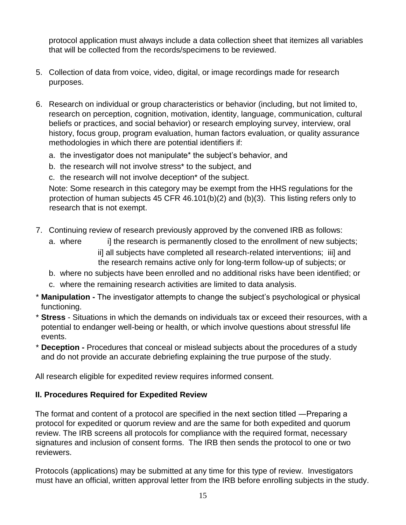protocol application must always include a data collection sheet that itemizes all variables that will be collected from the records/specimens to be reviewed.

- 5. Collection of data from voice, video, digital, or image recordings made for research purposes.
- 6. Research on individual or group characteristics or behavior (including, but not limited to, research on perception, cognition, motivation, identity, language, communication, cultural beliefs or practices, and social behavior) or research employing survey, interview, oral history, focus group, program evaluation, human factors evaluation, or quality assurance methodologies in which there are potential identifiers if:
	- a. the investigator does not manipulate\* the subject's behavior, and
	- b. the research will not involve stress\* to the subject, and
	- c. the research will not involve deception\* of the subject.

Note: Some research in this category may be exempt from the HHS regulations for the protection of human subjects 45 CFR 46.101(b)(2) and (b)(3). This listing refers only to research that is not exempt.

- 7. Continuing review of research previously approved by the convened IRB as follows:
	- a. where i] the research is permanently closed to the enrollment of new subjects; ii] all subjects have completed all research-related interventions; iii] and the research remains active only for long-term follow-up of subjects; or
	- b. where no subjects have been enrolled and no additional risks have been identified; or
	- c. where the remaining research activities are limited to data analysis.
- \* **Manipulation -** The investigator attempts to change the subject's psychological or physical functioning.
- \* **Stress**  Situations in which the demands on individuals tax or exceed their resources, with a potential to endanger well-being or health, or which involve questions about stressful life events.
- \* **Deception -** Procedures that conceal or mislead subjects about the procedures of a study and do not provide an accurate debriefing explaining the true purpose of the study.

All research eligible for expedited review requires informed consent.

#### **II. Procedures Required for Expedited Review**

The format and content of a protocol are specified in the next section titled ―Preparing a protocol for expedited or quorum review and are the same for both expedited and quorum review. The IRB screens all protocols for compliance with the required format, necessary signatures and inclusion of consent forms. The IRB then sends the protocol to one or two reviewers.

Protocols (applications) may be submitted at any time for this type of review. Investigators must have an official, written approval letter from the IRB before enrolling subjects in the study.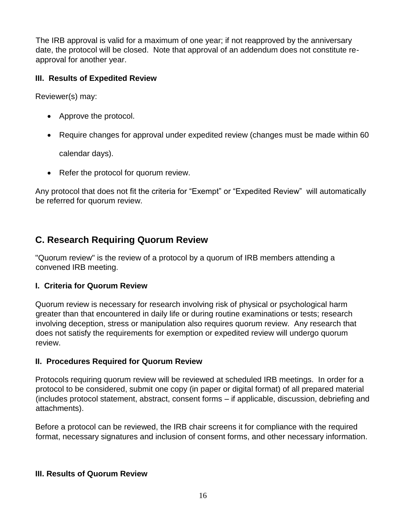The IRB approval is valid for a maximum of one year; if not reapproved by the anniversary date, the protocol will be closed. Note that approval of an addendum does not constitute reapproval for another year.

#### **III. Results of Expedited Review**

Reviewer(s) may:

- Approve the protocol.
- Require changes for approval under expedited review (changes must be made within 60

calendar days).

• Refer the protocol for quorum review.

Any protocol that does not fit the criteria for "Exempt" or "Expedited Review" will automatically be referred for quorum review.

# <span id="page-15-0"></span>**C. Research Requiring Quorum Review**

"Quorum review" is the review of a protocol by a quorum of IRB members attending a convened IRB meeting.

#### **I. Criteria for Quorum Review**

Quorum review is necessary for research involving risk of physical or psychological harm greater than that encountered in daily life or during routine examinations or tests; research involving deception, stress or manipulation also requires quorum review. Any research that does not satisfy the requirements for exemption or expedited review will undergo quorum review.

#### **II. Procedures Required for Quorum Review**

Protocols requiring quorum review will be reviewed at scheduled IRB meetings. In order for a protocol to be considered, submit one copy (in paper or digital format) of all prepared material (includes protocol statement, abstract, consent forms – if applicable, discussion, debriefing and attachments).

Before a protocol can be reviewed, the IRB chair screens it for compliance with the required format, necessary signatures and inclusion of consent forms, and other necessary information.

#### **III. Results of Quorum Review**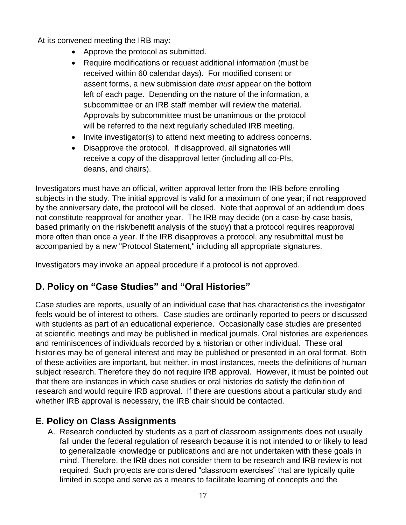At its convened meeting the IRB may:

- Approve the protocol as submitted.
- Require modifications or request additional information (must be received within 60 calendar days). For modified consent or assent forms, a new submission date *must* appear on the bottom left of each page. Depending on the nature of the information, a subcommittee or an IRB staff member will review the material. Approvals by subcommittee must be unanimous or the protocol will be referred to the next regularly scheduled IRB meeting.
- Invite investigator(s) to attend next meeting to address concerns.
- Disapprove the protocol. If disapproved, all signatories will receive a copy of the disapproval letter (including all co-PIs, deans, and chairs).

Investigators must have an official, written approval letter from the IRB before enrolling subjects in the study. The initial approval is valid for a maximum of one year; if not reapproved by the anniversary date, the protocol will be closed. Note that approval of an addendum does not constitute reapproval for another year. The IRB may decide (on a case-by-case basis, based primarily on the risk/benefit analysis of the study) that a protocol requires reapproval more often than once a year. If the IRB disapproves a protocol, any resubmittal must be accompanied by a new "Protocol Statement," including all appropriate signatures.

Investigators may invoke an appeal procedure if a protocol is not approved.

# <span id="page-16-0"></span>**D. Policy on "Case Studies" and "Oral Histories"**

Case studies are reports, usually of an individual case that has characteristics the investigator feels would be of interest to others. Case studies are ordinarily reported to peers or discussed with students as part of an educational experience. Occasionally case studies are presented at scientific meetings and may be published in medical journals. Oral histories are experiences and reminiscences of individuals recorded by a historian or other individual. These oral histories may be of general interest and may be published or presented in an oral format. Both of these activities are important, but neither, in most instances, meets the definitions of human subject research. Therefore they do not require IRB approval. However, it must be pointed out that there are instances in which case studies or oral histories do satisfy the definition of research and would require IRB approval. If there are questions about a particular study and whether IRB approval is necessary, the IRB chair should be contacted.

## <span id="page-16-1"></span>**E. Policy on Class Assignments**

A. Research conducted by students as a part of classroom assignments does not usually fall under the federal regulation of research because it is not intended to or likely to lead to generalizable knowledge or publications and are not undertaken with these goals in mind. Therefore, the IRB does not consider them to be research and IRB review is not required. Such projects are considered "classroom exercises" that are typically quite limited in scope and serve as a means to facilitate learning of concepts and the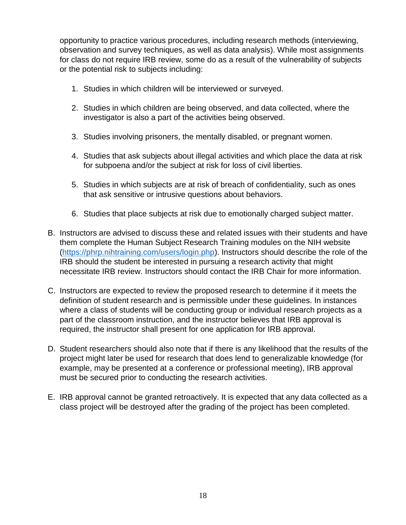opportunity to practice various procedures, including research methods (interviewing, observation and survey techniques, as well as data analysis). While most assignments for class do not require IRB review, some do as a result of the vulnerability of subjects or the potential risk to subjects including:

- 1. Studies in which children will be interviewed or surveyed.
- 2. Studies in which children are being observed, and data collected, where the investigator is also a part of the activities being observed.
- 3. Studies involving prisoners, the mentally disabled, or pregnant women.
- 4. Studies that ask subjects about illegal activities and which place the data at risk for subpoena and/or the subject at risk for loss of civil liberties.
- 5. Studies in which subjects are at risk of breach of confidentiality, such as ones that ask sensitive or intrusive questions about behaviors.
- 6. Studies that place subjects at risk due to emotionally charged subject matter.
- B. Instructors are advised to discuss these and related issues with their students and have them complete the Human Subject Research Training modules on the NIH website [\(https://phrp.nihtraining.com/users/login.php\)](https://phrp.nihtraining.com/users/login.php). Instructors should describe the role of the IRB should the student be interested in pursuing a research activity that might necessitate IRB review. Instructors should contact the IRB Chair for more information.
- C. Instructors are expected to review the proposed research to determine if it meets the definition of student research and is permissible under these guidelines. In instances where a class of students will be conducting group or individual research projects as a part of the classroom instruction, and the instructor believes that IRB approval is required, the instructor shall present for one application for IRB approval.
- D. Student researchers should also note that if there is any likelihood that the results of the project might later be used for research that does lend to generalizable knowledge (for example, may be presented at a conference or professional meeting), IRB approval must be secured prior to conducting the research activities.
- E. IRB approval cannot be granted retroactively. It is expected that any data collected as a class project will be destroyed after the grading of the project has been completed.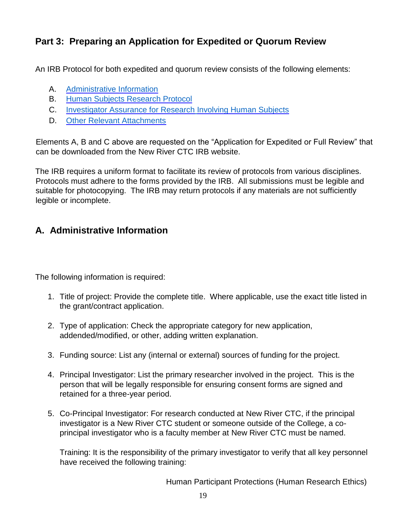# <span id="page-18-0"></span>**Part 3: Preparing an Application for Expedited or Quorum Review**

An IRB Protocol for both expedited and quorum review consists of the following elements:

- A. [Administrative](#page-18-1) Information
- B. [Human Subjects Research Protocol](#page-19-0)
- C. [Investigator Assurance for Research](#page-22-0) Involving Human Subjects
- D. [Other Relevant Attachments](#page-23-0)

Elements A, B and C above are requested on the "Application for Expedited or Full Review" that can be downloaded from the New River CTC IRB website.

The IRB requires a uniform format to facilitate its review of protocols from various disciplines. Protocols must adhere to the forms provided by the IRB. All submissions must be legible and suitable for photocopying. The IRB may return protocols if any materials are not sufficiently legible or incomplete.

## <span id="page-18-1"></span>**A. Administrative Information**

The following information is required:

- 1. Title of project: Provide the complete title. Where applicable, use the exact title listed in the grant/contract application.
- 2. Type of application: Check the appropriate category for new application, addended/modified, or other, adding written explanation.
- 3. Funding source: List any (internal or external) sources of funding for the project.
- 4. Principal Investigator: List the primary researcher involved in the project. This is the person that will be legally responsible for ensuring consent forms are signed and retained for a three-year period.
- 5. Co-Principal Investigator: For research conducted at New River CTC, if the principal investigator is a New River CTC student or someone outside of the College, a coprincipal investigator who is a faculty member at New River CTC must be named.

Training: It is the responsibility of the primary investigator to verify that all key personnel have received the following training:

Human Participant Protections (Human Research Ethics)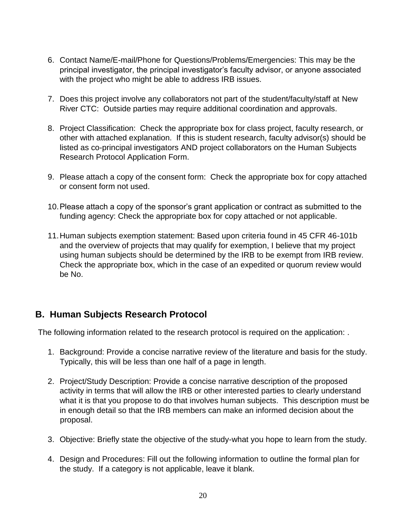- 6. Contact Name/E-mail/Phone for Questions/Problems/Emergencies: This may be the principal investigator, the principal investigator's faculty advisor, or anyone associated with the project who might be able to address IRB issues.
- 7. Does this project involve any collaborators not part of the student/faculty/staff at New River CTC: Outside parties may require additional coordination and approvals.
- 8. Project Classification: Check the appropriate box for class project, faculty research, or other with attached explanation. If this is student research, faculty advisor(s) should be listed as co-principal investigators AND project collaborators on the Human Subjects Research Protocol Application Form.
- 9. Please attach a copy of the consent form: Check the appropriate box for copy attached or consent form not used.
- 10.Please attach a copy of the sponsor's grant application or contract as submitted to the funding agency: Check the appropriate box for copy attached or not applicable.
- 11.Human subjects exemption statement: Based upon criteria found in 45 CFR 46-101b and the overview of projects that may qualify for exemption, I believe that my project using human subjects should be determined by the IRB to be exempt from IRB review. Check the appropriate box, which in the case of an expedited or quorum review would be No.

## <span id="page-19-0"></span>**B. Human Subjects Research Protocol**

The following information related to the research protocol is required on the application: .

- 1. Background: Provide a concise narrative review of the literature and basis for the study. Typically, this will be less than one half of a page in length.
- 2. Project/Study Description: Provide a concise narrative description of the proposed activity in terms that will allow the IRB or other interested parties to clearly understand what it is that you propose to do that involves human subjects. This description must be in enough detail so that the IRB members can make an informed decision about the proposal.
- 3. Objective: Briefly state the objective of the study-what you hope to learn from the study.
- 4. Design and Procedures: Fill out the following information to outline the formal plan for the study. If a category is not applicable, leave it blank.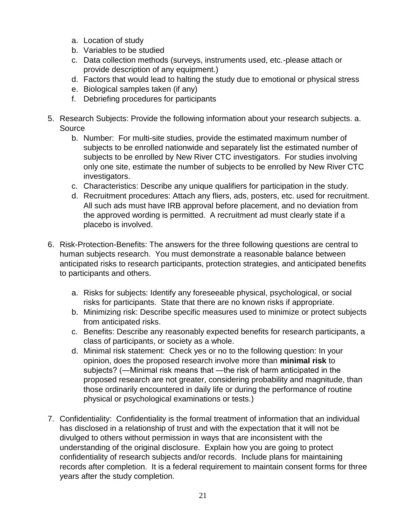- a. Location of study
- b. Variables to be studied
- c. Data collection methods (surveys, instruments used, etc.-please attach or provide description of any equipment.)
- d. Factors that would lead to halting the study due to emotional or physical stress
- e. Biological samples taken (if any)
- f. Debriefing procedures for participants
- 5. Research Subjects: Provide the following information about your research subjects. a. Source
	- b. Number: For multi-site studies, provide the estimated maximum number of subjects to be enrolled nationwide and separately list the estimated number of subjects to be enrolled by New River CTC investigators. For studies involving only one site, estimate the number of subjects to be enrolled by New River CTC investigators.
	- c. Characteristics: Describe any unique qualifiers for participation in the study.
	- d. Recruitment procedures: Attach any fliers, ads, posters, etc. used for recruitment. All such ads must have IRB approval before placement, and no deviation from the approved wording is permitted. A recruitment ad must clearly state if a placebo is involved.
- 6. Risk-Protection-Benefits: The answers for the three following questions are central to human subjects research. You must demonstrate a reasonable balance between anticipated risks to research participants, protection strategies, and anticipated benefits to participants and others.
	- a. Risks for subjects: Identify any foreseeable physical, psychological, or social risks for participants. State that there are no known risks if appropriate.
	- b. Minimizing risk: Describe specific measures used to minimize or protect subjects from anticipated risks.
	- c. Benefits: Describe any reasonably expected benefits for research participants, a class of participants, or society as a whole.
	- d. Minimal risk statement: Check yes or no to the following question: In your opinion, does the proposed research involve more than **minimal risk** to subjects? (―Minimal risk means that ―the risk of harm anticipated in the proposed research are not greater, considering probability and magnitude, than those ordinarily encountered in daily life or during the performance of routine physical or psychological examinations or tests.)
- 7. Confidentiality: Confidentiality is the formal treatment of information that an individual has disclosed in a relationship of trust and with the expectation that it will not be divulged to others without permission in ways that are inconsistent with the understanding of the original disclosure. Explain how you are going to protect confidentiality of research subjects and/or records. Include plans for maintaining records after completion. It is a federal requirement to maintain consent forms for three years after the study completion.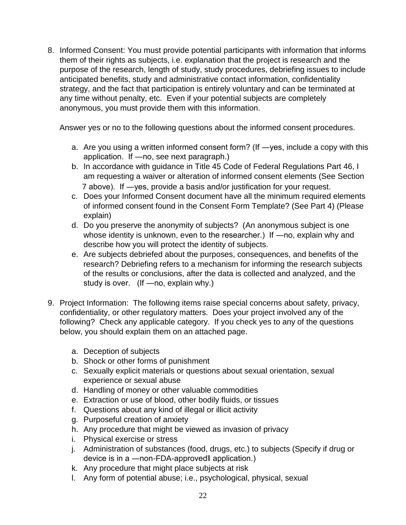8. Informed Consent: You must provide potential participants with information that informs them of their rights as subjects, i.e. explanation that the project is research and the purpose of the research, length of study, study procedures, debriefing issues to include anticipated benefits, study and administrative contact information, confidentiality strategy, and the fact that participation is entirely voluntary and can be terminated at any time without penalty, etc. Even if your potential subjects are completely anonymous, you must provide them with this information.

Answer yes or no to the following questions about the informed consent procedures.

- a. Are you using a written informed consent form? (If ―yes, include a copy with this application. If ―no, see next paragraph.)
- b. In accordance with guidance in Title 45 Code of Federal Regulations Part 46, I am requesting a waiver or alteration of informed consent elements (See Section 7 above). If ―yes, provide a basis and/or justification for your request.
- c. Does your Informed Consent document have all the minimum required elements of informed consent found in the Consent Form Template? (See Part 4) (Please explain)
- d. Do you preserve the anonymity of subjects? (An anonymous subject is one whose identity is unknown, even to the researcher.) If —no, explain why and describe how you will protect the identity of subjects.
- e. Are subjects debriefed about the purposes, consequences, and benefits of the research? Debriefing refers to a mechanism for informing the research subjects of the results or conclusions, after the data is collected and analyzed, and the study is over. (If —no, explain why.)
- 9. Project Information: The following items raise special concerns about safety, privacy, confidentiality, or other regulatory matters. Does your project involved any of the following? Check any applicable category. If you check yes to any of the questions below, you should explain them on an attached page.
	- a. Deception of subjects
	- b. Shock or other forms of punishment
	- c. Sexually explicit materials or questions about sexual orientation, sexual experience or sexual abuse
	- d. Handling of money or other valuable commodities
	- e. Extraction or use of blood, other bodily fluids, or tissues
	- f. Questions about any kind of illegal or illicit activity
	- g. Purposeful creation of anxiety
	- h. Any procedure that might be viewed as invasion of privacy
	- i. Physical exercise or stress
	- j. Administration of substances (food, drugs, etc.) to subjects (Specify if drug or device is in a ―non-FDA-approved‖ application.)
	- k. Any procedure that might place subjects at risk
	- l. Any form of potential abuse; i.e., psychological, physical, sexual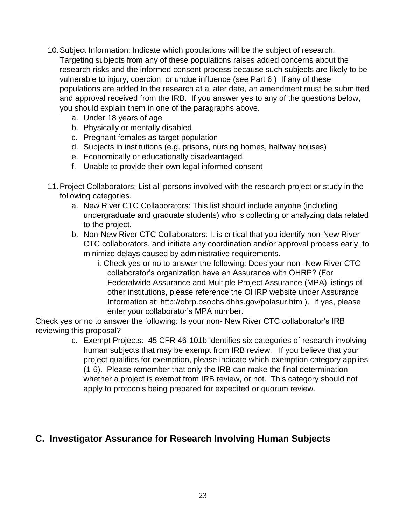- 10.Subject Information: Indicate which populations will be the subject of research. Targeting subjects from any of these populations raises added concerns about the research risks and the informed consent process because such subjects are likely to be vulnerable to injury, coercion, or undue influence (see Part 6.) If any of these populations are added to the research at a later date, an amendment must be submitted and approval received from the IRB. If you answer yes to any of the questions below, you should explain them in one of the paragraphs above.
	- a. Under 18 years of age
	- b. Physically or mentally disabled
	- c. Pregnant females as target population
	- d. Subjects in institutions (e.g. prisons, nursing homes, halfway houses)
	- e. Economically or educationally disadvantaged
	- f. Unable to provide their own legal informed consent
- 11.Project Collaborators: List all persons involved with the research project or study in the following categories.
	- a. New River CTC Collaborators: This list should include anyone (including undergraduate and graduate students) who is collecting or analyzing data related to the project.
	- b. Non-New River CTC Collaborators: It is critical that you identify non-New River CTC collaborators, and initiate any coordination and/or approval process early, to minimize delays caused by administrative requirements.
		- i. Check yes or no to answer the following: Does your non- New River CTC collaborator's organization have an Assurance with OHRP? (For Federalwide Assurance and Multiple Project Assurance (MPA) listings of other institutions, please reference the OHRP website under Assurance Information at: http://ohrp.osophs.dhhs.gov/polasur.htm ).If yes, please enter your collaborator's MPA number.

Check yes or no to answer the following: Is your non- New River CTC collaborator's IRB reviewing this proposal?

> c. Exempt Projects:45 CFR 46-101b identifies six categories of research involving human subjects that may be exempt from IRB review. If you believe that your project qualifies for exemption, please indicate which exemption category applies (1-6). Please remember that only the IRB can make the final determination whether a project is exempt from IRB review, or not. This category should not apply to protocols being prepared for expedited or quorum review.

## <span id="page-22-0"></span>**C. Investigator Assurance for Research Involving Human Subjects**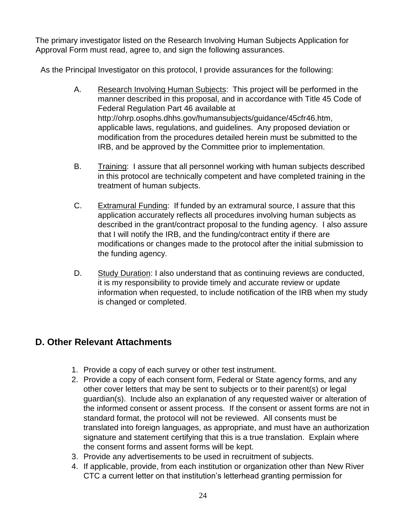The primary investigator listed on the Research Involving Human Subjects Application for Approval Form must read, agree to, and sign the following assurances.

As the Principal Investigator on this protocol, I provide assurances for the following:

- A. Research Involving Human Subjects: This project will be performed in the manner described in this proposal, and in accordance with Title 45 Code of Federal Regulation Part 46 available at http://ohrp.osophs.dhhs.gov/humansubjects/guidance/45cfr46.htm, applicable laws, regulations, and guidelines. Any proposed deviation or modification from the procedures detailed herein must be submitted to the IRB, and be approved by the Committee prior to implementation.
- B. Training: I assure that all personnel working with human subjects described in this protocol are technically competent and have completed training in the treatment of human subjects.
- C. Extramural Funding: If funded by an extramural source, I assure that this application accurately reflects all procedures involving human subjects as described in the grant/contract proposal to the funding agency. I also assure that I will notify the IRB, and the funding/contract entity if there are modifications or changes made to the protocol after the initial submission to the funding agency.
- D. Study Duration: I also understand that as continuing reviews are conducted, it is my responsibility to provide timely and accurate review or update information when requested, to include notification of the IRB when my study is changed or completed.

## <span id="page-23-0"></span>**D. Other Relevant Attachments**

- 1. Provide a copy of each survey or other test instrument.
- 2. Provide a copy of each consent form, Federal or State agency forms, and any other cover letters that may be sent to subjects or to their parent(s) or legal guardian(s). Include also an explanation of any requested waiver or alteration of the informed consent or assent process. If the consent or assent forms are not in standard format, the protocol will not be reviewed. All consents must be translated into foreign languages, as appropriate, and must have an authorization signature and statement certifying that this is a true translation. Explain where the consent forms and assent forms will be kept.
- 3. Provide any advertisements to be used in recruitment of subjects.
- 4. If applicable, provide, from each institution or organization other than New River CTC a current letter on that institution's letterhead granting permission for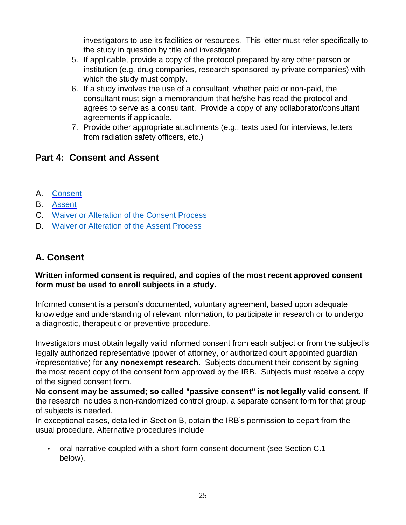investigators to use its facilities or resources. This letter must refer specifically to the study in question by title and investigator.

- 5. If applicable, provide a copy of the protocol prepared by any other person or institution (e.g. drug companies, research sponsored by private companies) with which the study must comply.
- 6. If a study involves the use of a consultant, whether paid or non-paid, the consultant must sign a memorandum that he/she has read the protocol and agrees to serve as a consultant. Provide a copy of any collaborator/consultant agreements if applicable.
- 7. Provide other appropriate attachments (e.g., texts used for interviews, letters from radiation safety officers, etc.)

## <span id="page-24-0"></span>**Part 4: Consent and Assent**

- A. [Consent](#page-24-1)
- B. [Assent](#page-30-0)
- C. [Waiver or Alteration of the Consent Process](#page-31-0)
- D. [Waiver or Alteration of the Assent Process](#page-33-1)

## <span id="page-24-1"></span>**A. Consent**

#### **Written informed consent is required, and copies of the most recent approved consent form must be used to enroll subjects in a study.**

Informed consent is a person's documented, voluntary agreement, based upon adequate knowledge and understanding of relevant information, to participate in research or to undergo a diagnostic, therapeutic or preventive procedure.

Investigators must obtain legally valid informed consent from each subject or from the subject's legally authorized representative (power of attorney, or authorized court appointed guardian /representative) for **any nonexempt research**. Subjects document their consent by signing the most recent copy of the consent form approved by the IRB. Subjects must receive a copy of the signed consent form.

**No consent may be assumed; so called "passive consent" is not legally valid consent.** If the research includes a non-randomized control group, a separate consent form for that group of subjects is needed.

In exceptional cases, detailed in Section B, obtain the IRB's permission to depart from the usual procedure. Alternative procedures include

• oral narrative coupled with a short-form consent document (see Section C.1 below),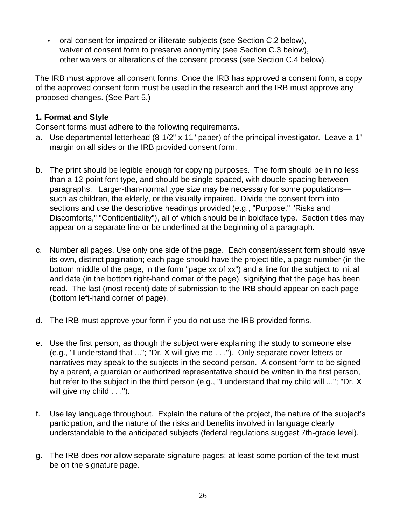• oral consent for impaired or illiterate subjects (see Section C.2 below), waiver of consent form to preserve anonymity (see Section C.3 below), other waivers or alterations of the consent process (see Section C.4 below).

The IRB must approve all consent forms. Once the IRB has approved a consent form, a copy of the approved consent form must be used in the research and the IRB must approve any proposed changes. (See Part 5.)

#### **1. Format and Style**

Consent forms must adhere to the following requirements.

- a. Use departmental letterhead (8-1/2" x 11" paper) of the principal investigator. Leave a 1" margin on all sides or the IRB provided consent form.
- b. The print should be legible enough for copying purposes. The form should be in no less than a 12-point font type, and should be single-spaced, with double-spacing between paragraphs. Larger-than-normal type size may be necessary for some populations such as children, the elderly, or the visually impaired. Divide the consent form into sections and use the descriptive headings provided (e.g., "Purpose," "Risks and Discomforts," "Confidentiality"), all of which should be in boldface type. Section titles may appear on a separate line or be underlined at the beginning of a paragraph.
- c. Number all pages. Use only one side of the page. Each consent/assent form should have its own, distinct pagination; each page should have the project title, a page number (in the bottom middle of the page, in the form "page xx of xx") and a line for the subject to initial and date (in the bottom right-hand corner of the page), signifying that the page has been read. The last (most recent) date of submission to the IRB should appear on each page (bottom left-hand corner of page).
- d. The IRB must approve your form if you do not use the IRB provided forms.
- e. Use the first person, as though the subject were explaining the study to someone else (e.g., "I understand that ..."; "Dr. X will give me . . ."). Only separate cover letters or narratives may speak to the subjects in the second person. A consent form to be signed by a parent, a guardian or authorized representative should be written in the first person, but refer to the subject in the third person (e.g., "I understand that my child will ..."; "Dr. X will give my child . . .").
- f. Use lay language throughout. Explain the nature of the project, the nature of the subject's participation, and the nature of the risks and benefits involved in language clearly understandable to the anticipated subjects (federal regulations suggest 7th-grade level).
- g. The IRB does *not* allow separate signature pages; at least some portion of the text must be on the signature page.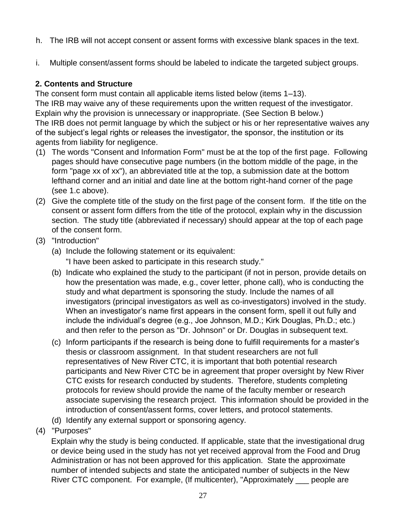- h. The IRB will not accept consent or assent forms with excessive blank spaces in the text.
- i. Multiple consent/assent forms should be labeled to indicate the targeted subject groups.

### **2. Contents and Structure**

The consent form must contain all applicable items listed below (items 1–13). The IRB may waive any of these requirements upon the written request of the investigator. Explain why the provision is unnecessary or inappropriate. (See Section B below.) The IRB does not permit language by which the subject or his or her representative waives any of the subject's legal rights or releases the investigator, the sponsor, the institution or its agents from liability for negligence.

- (1) The words "Consent and Information Form" must be at the top of the first page. Following pages should have consecutive page numbers (in the bottom middle of the page, in the form "page xx of xx"), an abbreviated title at the top, a submission date at the bottom lefthand corner and an initial and date line at the bottom right-hand corner of the page (see 1.c above).
- (2) Give the complete title of the study on the first page of the consent form. If the title on the consent or assent form differs from the title of the protocol, explain why in the discussion section. The study title (abbreviated if necessary) should appear at the top of each page of the consent form.
- (3) "Introduction"
	- (a) Include the following statement or its equivalent:
		- "I have been asked to participate in this research study."
	- (b) Indicate who explained the study to the participant (if not in person, provide details on how the presentation was made, e.g., cover letter, phone call), who is conducting the study and what department is sponsoring the study. Include the names of all investigators (principal investigators as well as co-investigators) involved in the study. When an investigator's name first appears in the consent form, spell it out fully and include the individual's degree (e.g., Joe Johnson, M.D.; Kirk Douglas, Ph.D.; etc.) and then refer to the person as "Dr. Johnson" or Dr. Douglas in subsequent text.
	- (c) Inform participants if the research is being done to fulfill requirements for a master's thesis or classroom assignment. In that student researchers are not full representatives of New River CTC, it is important that both potential research participants and New River CTC be in agreement that proper oversight by New River CTC exists for research conducted by students. Therefore, students completing protocols for review should provide the name of the faculty member or research associate supervising the research project. This information should be provided in the introduction of consent/assent forms, cover letters, and protocol statements.
	- (d) Identify any external support or sponsoring agency.
- (4) "Purposes"

Explain why the study is being conducted. If applicable, state that the investigational drug or device being used in the study has not yet received approval from the Food and Drug Administration or has not been approved for this application. State the approximate number of intended subjects and state the anticipated number of subjects in the New River CTC component. For example, (If multicenter), "Approximately \_\_\_ people are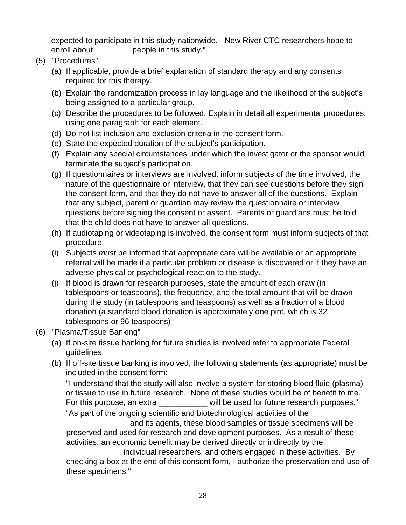expected to participate in this study nationwide. New River CTC researchers hope to enroll about **people in this study.**"

- (5) "Procedures"
	- (a) If applicable, provide a brief explanation of standard therapy and any consents required for this therapy.
	- (b) Explain the randomization process in lay language and the likelihood of the subject's being assigned to a particular group.
	- (c) Describe the procedures to be followed. Explain in detail all experimental procedures, using one paragraph for each element.
	- (d) Do not list inclusion and exclusion criteria in the consent form.
	- (e) State the expected duration of the subject's participation.
	- (f) Explain any special circumstances under which the investigator or the sponsor would terminate the subject's participation.
	- (g) If questionnaires or interviews are involved, inform subjects of the time involved, the nature of the questionnaire or interview, that they can see questions before they sign the consent form, and that they do not have to answer all of the questions. Explain that any subject, parent or guardian may review the questionnaire or interview questions before signing the consent or assent. Parents or guardians must be told that the child does not have to answer all questions.
	- (h) If audiotaping or videotaping is involved, the consent form must inform subjects of that procedure.
	- (i) Subjects *must* be informed that appropriate care will be available or an appropriate referral will be made if a particular problem or disease is discovered or if they have an adverse physical or psychological reaction to the study.
	- (j) If blood is drawn for research purposes, state the amount of each draw (in tablespoons or teaspoons), the frequency, and the total amount that will be drawn during the study (in tablespoons and teaspoons) as well as a fraction of a blood donation (a standard blood donation is approximately one pint, which is 32 tablespoons or 96 teaspoons)
- (6) "Plasma/Tissue Banking"
	- (a) If on-site tissue banking for future studies is involved refer to appropriate Federal guidelines.
	- (b) If off-site tissue banking is involved, the following statements (as appropriate) must be included in the consent form:

"I understand that the study will also involve a system for storing blood fluid (plasma) or tissue to use in future research. None of these studies would be of benefit to me. For this purpose, an extra \_\_\_\_\_\_\_\_\_\_ will be used for future research purposes."

"As part of the ongoing scientific and biotechnological activities of the

and its agents, these blood samples or tissue specimens will be preserved and used for research and development purposes. As a result of these activities, an economic benefit may be derived directly or indirectly by the

\_\_\_\_\_\_\_\_\_\_\_\_, individual researchers, and others engaged in these activities. By checking a box at the end of this consent form, I authorize the preservation and use of these specimens."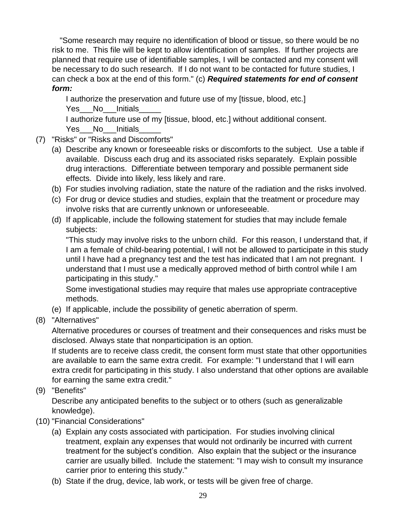"Some research may require no identification of blood or tissue, so there would be no risk to me. This file will be kept to allow identification of samples. If further projects are planned that require use of identifiable samples, I will be contacted and my consent will be necessary to do such research. If I do not want to be contacted for future studies, I can check a box at the end of this form." (c) *Required statements for end of consent form:*

I authorize the preservation and future use of my [tissue, blood, etc.] Yes No Initials

I authorize future use of my [tissue, blood, etc.] without additional consent. Yes\_\_\_No\_\_\_Initials\_\_

- (7) "Risks" or "Risks and Discomforts"
	- (a) Describe any known or foreseeable risks or discomforts to the subject. Use a table if available. Discuss each drug and its associated risks separately. Explain possible drug interactions. Differentiate between temporary and possible permanent side effects. Divide into likely, less likely and rare.
	- (b) For studies involving radiation, state the nature of the radiation and the risks involved.
	- (c) For drug or device studies and studies, explain that the treatment or procedure may involve risks that are currently unknown or unforeseeable.
	- (d) If applicable, include the following statement for studies that may include female subjects:

"This study may involve risks to the unborn child. For this reason, I understand that, if I am a female of child-bearing potential, I will not be allowed to participate in this study until I have had a pregnancy test and the test has indicated that I am not pregnant. I understand that I must use a medically approved method of birth control while I am participating in this study."

Some investigational studies may require that males use appropriate contraceptive methods.

- (e) If applicable, include the possibility of genetic aberration of sperm.
- (8) "Alternatives"

Alternative procedures or courses of treatment and their consequences and risks must be disclosed. Always state that nonparticipation is an option.

If students are to receive class credit, the consent form must state that other opportunities are available to earn the same extra credit. For example: "I understand that I will earn extra credit for participating in this study. I also understand that other options are available for earning the same extra credit."

(9) "Benefits"

Describe any anticipated benefits to the subject or to others (such as generalizable knowledge).

- (10) "Financial Considerations"
	- (a) Explain any costs associated with participation. For studies involving clinical treatment, explain any expenses that would not ordinarily be incurred with current treatment for the subject's condition. Also explain that the subject or the insurance carrier are usually billed. Include the statement: "I may wish to consult my insurance carrier prior to entering this study."
	- (b) State if the drug, device, lab work, or tests will be given free of charge.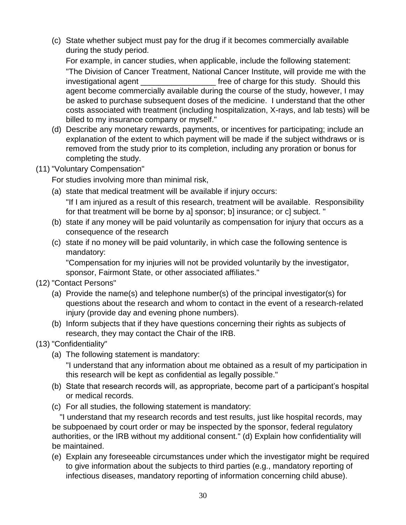(c) State whether subject must pay for the drug if it becomes commercially available during the study period.

For example, in cancer studies, when applicable, include the following statement: "The Division of Cancer Treatment, National Cancer Institute, will provide me with the investigational agent **the intervalled intervalled** free of charge for this study. Should this agent become commercially available during the course of the study, however, I may be asked to purchase subsequent doses of the medicine. I understand that the other costs associated with treatment (including hospitalization, X-rays, and lab tests) will be billed to my insurance company or myself."

- (d) Describe any monetary rewards, payments, or incentives for participating; include an explanation of the extent to which payment will be made if the subject withdraws or is removed from the study prior to its completion, including any proration or bonus for completing the study.
- (11) "Voluntary Compensation"

For studies involving more than minimal risk,

(a) state that medical treatment will be available if injury occurs:

"If I am injured as a result of this research, treatment will be available. Responsibility for that treatment will be borne by a] sponsor; b] insurance; or c] subject. "

- (b) state if any money will be paid voluntarily as compensation for injury that occurs as a consequence of the research
- (c) state if no money will be paid voluntarily, in which case the following sentence is mandatory:

"Compensation for my injuries will not be provided voluntarily by the investigator, sponsor, Fairmont State, or other associated affiliates."

- (12) "Contact Persons"
	- (a) Provide the name(s) and telephone number(s) of the principal investigator(s) for questions about the research and whom to contact in the event of a research-related injury (provide day and evening phone numbers).
	- (b) Inform subjects that if they have questions concerning their rights as subjects of research, they may contact the Chair of the IRB.
- (13) "Confidentiality"
	- (a) The following statement is mandatory:

"I understand that any information about me obtained as a result of my participation in this research will be kept as confidential as legally possible."

- (b) State that research records will, as appropriate, become part of a participant's hospital or medical records.
- (c) For all studies, the following statement is mandatory:

"I understand that my research records and test results, just like hospital records, may be subpoenaed by court order or may be inspected by the sponsor, federal regulatory authorities, or the IRB without my additional consent." (d) Explain how confidentiality will be maintained.

(e) Explain any foreseeable circumstances under which the investigator might be required to give information about the subjects to third parties (e.g., mandatory reporting of infectious diseases, mandatory reporting of information concerning child abuse).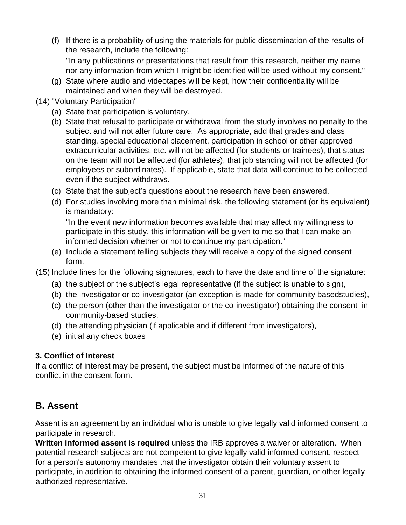- (f) If there is a probability of using the materials for public dissemination of the results of the research, include the following: "In any publications or presentations that result from this research, neither my name nor any information from which I might be identified will be used without my consent."
- (g) State where audio and videotapes will be kept, how their confidentiality will be maintained and when they will be destroyed.
- (14) "Voluntary Participation"
	- (a) State that participation is voluntary.
	- (b) State that refusal to participate or withdrawal from the study involves no penalty to the subject and will not alter future care. As appropriate, add that grades and class standing, special educational placement, participation in school or other approved extracurricular activities, etc. will not be affected (for students or trainees), that status on the team will not be affected (for athletes), that job standing will not be affected (for employees or subordinates). If applicable, state that data will continue to be collected even if the subject withdraws.
	- (c) State that the subject's questions about the research have been answered.
	- (d) For studies involving more than minimal risk, the following statement (or its equivalent) is mandatory:

"In the event new information becomes available that may affect my willingness to participate in this study, this information will be given to me so that I can make an informed decision whether or not to continue my participation."

- (e) Include a statement telling subjects they will receive a copy of the signed consent form.
- (15) Include lines for the following signatures, each to have the date and time of the signature:
	- (a) the subject or the subject's legal representative (if the subject is unable to sign),
	- (b) the investigator or co-investigator (an exception is made for community basedstudies),
	- (c) the person (other than the investigator or the co-investigator) obtaining the consent in community-based studies,
	- (d) the attending physician (if applicable and if different from investigators),
	- (e) initial any check boxes

### **3. Conflict of Interest**

If a conflict of interest may be present, the subject must be informed of the nature of this conflict in the consent form.

## <span id="page-30-0"></span>**B. Assent**

Assent is an agreement by an individual who is unable to give legally valid informed consent to participate in research.

**Written informed assent is required** unless the IRB approves a waiver or alteration. When potential research subjects are not competent to give legally valid informed consent, respect for a person's autonomy mandates that the investigator obtain their voluntary assent to participate, in addition to obtaining the informed consent of a parent, guardian, or other legally authorized representative.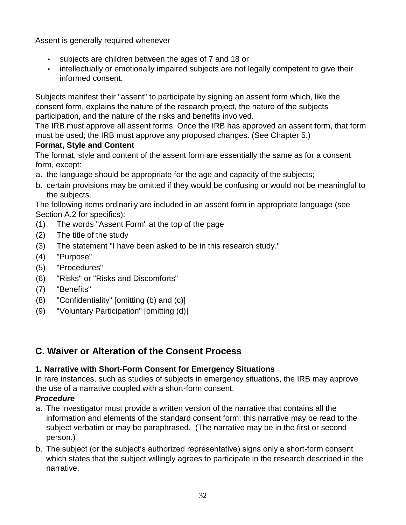Assent is generally required whenever

- subjects are children between the ages of 7 and 18 or
- intellectually or emotionally impaired subjects are not legally competent to give their informed consent.

Subjects manifest their "assent" to participate by signing an assent form which, like the consent form, explains the nature of the research project, the nature of the subjects' participation, and the nature of the risks and benefits involved.

The IRB must approve all assent forms. Once the IRB has approved an assent form, that form must be used; the IRB must approve any proposed changes. (See Chapter 5.)

### **Format, Style and Content**

The format, style and content of the assent form are essentially the same as for a consent form, except:

- a. the language should be appropriate for the age and capacity of the subjects;
- b. certain provisions may be omitted if they would be confusing or would not be meaningful to the subjects.

The following items ordinarily are included in an assent form in appropriate language (see Section A.2 for specifics):

- (1) The words "Assent Form" at the top of the page
- (2) The title of the study
- (3) The statement "I have been asked to be in this research study."
- (4) "Purpose"
- (5) "Procedures"
- (6) "Risks" or "Risks and Discomforts"
- (7) "Benefits"
- (8) "Confidentiality" [omitting (b) and (c)]
- (9) "Voluntary Participation" [omitting (d)]

## <span id="page-31-0"></span>**C. Waiver or Alteration of the Consent Process**

#### **1. Narrative with Short-Form Consent for Emergency Situations**

In rare instances, such as studies of subjects in emergency situations, the IRB may approve the use of a narrative coupled with a short-form consent.

#### *Procedure*

- a. The investigator must provide a written version of the narrative that contains all the information and elements of the standard consent form; this narrative may be read to the subject verbatim or may be paraphrased. (The narrative may be in the first or second person.)
- b. The subject (or the subject's authorized representative) signs only a short-form consent which states that the subject willingly agrees to participate in the research described in the narrative.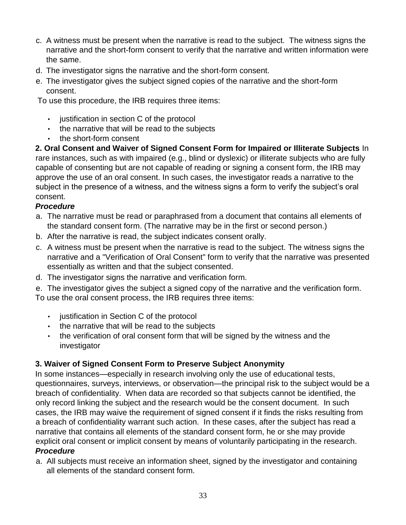- c. A witness must be present when the narrative is read to the subject. The witness signs the narrative and the short-form consent to verify that the narrative and written information were the same.
- d. The investigator signs the narrative and the short-form consent.
- e. The investigator gives the subject signed copies of the narrative and the short-form consent.

To use this procedure, the IRB requires three items:

- justification in section C of the protocol
- the narrative that will be read to the subjects
- the short-form consent

**2. Oral Consent and Waiver of Signed Consent Form for Impaired or Illiterate Subjects** In rare instances, such as with impaired (e.g., blind or dyslexic) or illiterate subjects who are fully capable of consenting but are not capable of reading or signing a consent form, the IRB may approve the use of an oral consent. In such cases, the investigator reads a narrative to the subject in the presence of a witness, and the witness signs a form to verify the subject's oral consent.

## *Procedure*

- a. The narrative must be read or paraphrased from a document that contains all elements of the standard consent form. (The narrative may be in the first or second person.)
- b. After the narrative is read, the subject indicates consent orally.
- c. A witness must be present when the narrative is read to the subject. The witness signs the narrative and a "Verification of Oral Consent" form to verify that the narrative was presented essentially as written and that the subject consented.
- d. The investigator signs the narrative and verification form.
- e. The investigator gives the subject a signed copy of the narrative and the verification form.

To use the oral consent process, the IRB requires three items:

- justification in Section C of the protocol
- the narrative that will be read to the subjects
- the verification of oral consent form that will be signed by the witness and the investigator

## **3. Waiver of Signed Consent Form to Preserve Subject Anonymity**

In some instances—especially in research involving only the use of educational tests, questionnaires, surveys, interviews, or observation—the principal risk to the subject would be a breach of confidentiality. When data are recorded so that subjects cannot be identified, the only record linking the subject and the research would be the consent document. In such cases, the IRB may waive the requirement of signed consent if it finds the risks resulting from a breach of confidentiality warrant such action. In these cases, after the subject has read a narrative that contains all elements of the standard consent form, he or she may provide explicit oral consent or implicit consent by means of voluntarily participating in the research.

## *Procedure*

a. All subjects must receive an information sheet, signed by the investigator and containing all elements of the standard consent form.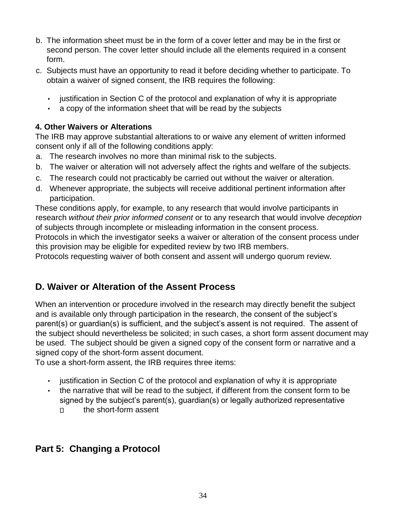- b. The information sheet must be in the form of a cover letter and may be in the first or second person. The cover letter should include all the elements required in a consent form.
- c. Subjects must have an opportunity to read it before deciding whether to participate. To obtain a waiver of signed consent, the IRB requires the following:
	- justification in Section C of the protocol and explanation of why it is appropriate
	- a copy of the information sheet that will be read by the subjects

### **4. Other Waivers or Alterations**

The IRB may approve substantial alterations to or waive any element of written informed consent only if all of the following conditions apply:

- a. The research involves no more than minimal risk to the subjects.
- b. The waiver or alteration will not adversely affect the rights and welfare of the subjects.
- c. The research could not practicably be carried out without the waiver or alteration.
- d. Whenever appropriate, the subjects will receive additional pertinent information after participation.

These conditions apply, for example, to any research that would involve participants in research *without their prior informed consent* or to any research that would involve *deception*  of subjects through incomplete or misleading information in the consent process.

Protocols in which the investigator seeks a waiver or alteration of the consent process under this provision may be eligible for expedited review by two IRB members.

Protocols requesting waiver of both consent and assent will undergo quorum review.

# <span id="page-33-1"></span>**D. Waiver or Alteration of the Assent Process**

When an intervention or procedure involved in the research may directly benefit the subject and is available only through participation in the research, the consent of the subject's parent(s) or guardian(s) is sufficient, and the subject's assent is not required. The assent of the subject should nevertheless be solicited; in such cases, a short form assent document may be used. The subject should be given a signed copy of the consent form or narrative and a signed copy of the short-form assent document.

To use a short-form assent, the IRB requires three items:

- justification in Section C of the protocol and explanation of why it is appropriate
- the narrative that will be read to the subject, if different from the consent form to be signed by the subject's parent(s), guardian(s) or legally authorized representative
	- the short-form assent  $\Box$

# <span id="page-33-0"></span>**Part 5: Changing a Protocol**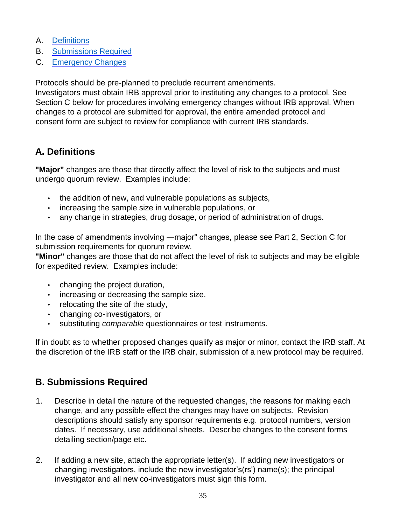- A. [Definitions](#page-34-0)
- B. [Submissions Required](#page-34-1)
- C. [Emergency Changes](#page-35-1)

Protocols should be pre-planned to preclude recurrent amendments.

Investigators must obtain IRB approval prior to instituting any changes to a protocol. See Section C below for procedures involving emergency changes without IRB approval. When changes to a protocol are submitted for approval, the entire amended protocol and consent form are subject to review for compliance with current IRB standards.

## <span id="page-34-0"></span>**A. Definitions**

**"Major"** changes are those that directly affect the level of risk to the subjects and must undergo quorum review. Examples include:

- the addition of new, and vulnerable populations as subjects,
- increasing the sample size in vulnerable populations, or
- any change in strategies, drug dosage, or period of administration of drugs.

In the case of amendments involving ―major" changes, please see Part 2, Section C for submission requirements for quorum review.

**"Minor"** changes are those that do not affect the level of risk to subjects and may be eligible for expedited review. Examples include:

- changing the project duration,
- increasing or decreasing the sample size,
- relocating the site of the study,
- changing co-investigators, or
- substituting *comparable* questionnaires or test instruments.

If in doubt as to whether proposed changes qualify as major or minor, contact the IRB staff. At the discretion of the IRB staff or the IRB chair, submission of a new protocol may be required.

### <span id="page-34-1"></span>**B. Submissions Required**

- 1. Describe in detail the nature of the requested changes, the reasons for making each change, and any possible effect the changes may have on subjects. Revision descriptions should satisfy any sponsor requirements e.g. protocol numbers, version dates. If necessary, use additional sheets. Describe changes to the consent forms detailing section/page etc.
- 2. If adding a new site, attach the appropriate letter(s). If adding new investigators or changing investigators, include the new investigator's(rs') name(s); the principal investigator and all new co-investigators must sign this form.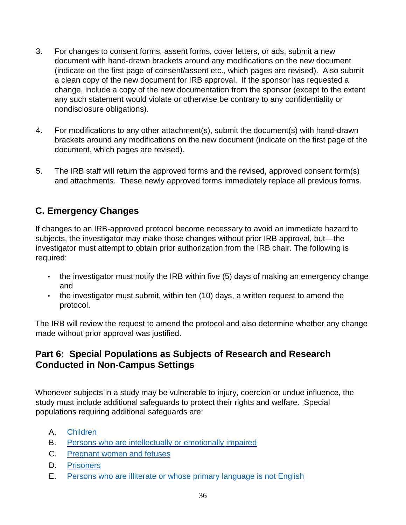- 3. For changes to consent forms, assent forms, cover letters, or ads, submit a new document with hand-drawn brackets around any modifications on the new document (indicate on the first page of consent/assent etc., which pages are revised). Also submit a clean copy of the new document for IRB approval. If the sponsor has requested a change, include a copy of the new documentation from the sponsor (except to the extent any such statement would violate or otherwise be contrary to any confidentiality or nondisclosure obligations).
- 4. For modifications to any other attachment(s), submit the document(s) with hand-drawn brackets around any modifications on the new document (indicate on the first page of the document, which pages are revised).
- 5. The IRB staff will return the approved forms and the revised, approved consent form(s) and attachments. These newly approved forms immediately replace all previous forms.

# <span id="page-35-1"></span>**C. Emergency Changes**

If changes to an IRB-approved protocol become necessary to avoid an immediate hazard to subjects, the investigator may make those changes without prior IRB approval, but—the investigator must attempt to obtain prior authorization from the IRB chair. The following is required:

- the investigator must notify the IRB within five (5) days of making an emergency change and
- the investigator must submit, within ten (10) days, a written request to amend the protocol.

The IRB will review the request to amend the protocol and also determine whether any change made without prior approval was justified.

## <span id="page-35-0"></span>**Part 6: Special Populations as Subjects of Research and Research Conducted in Non-Campus Settings**

Whenever subjects in a study may be vulnerable to injury, coercion or undue influence, the study must include additional safeguards to protect their rights and welfare. Special populations requiring additional safeguards are:

- A. [Children](#page-36-0)
- B. [Persons who are intellectually or emotionally](#page-37-0) impaired
- C. [Pregnant women and fetuses](#page-38-0)
- D. [Prisoners](#page-39-0)
- E. [Persons who are illiterate or whose primary](#page-40-0) language is not English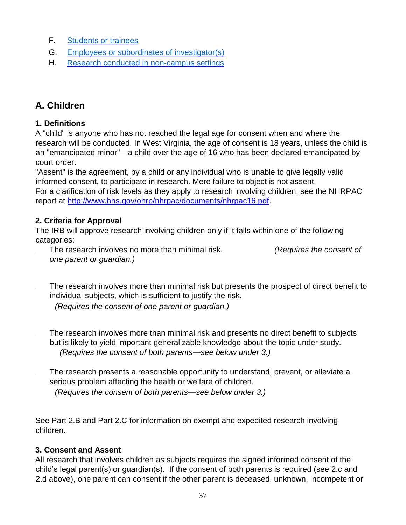- F. [Students or trainees](#page-40-1)
- G. [Employees or subordinates of investigator\(s\)](#page-41-0)
- H. [Research conducted in](#page-41-1) non-campus settings

## <span id="page-36-0"></span>**A. Children**

#### **1. Definitions**

A "child" is anyone who has not reached the legal age for consent when and where the research will be conducted. In West Virginia, the age of consent is 18 years, unless the child is an "emancipated minor"—a child over the age of 16 who has been declared emancipated by court order.

"Assent" is the agreement, by a child or any individual who is unable to give legally valid informed consent, to participate in research. Mere failure to object is not assent. For a clarification of risk levels as they apply to research involving children, see the NHRPAC report at [http://www.hhs.gov/ohrp/nhrpac/documents/nhrpac16.pdf.](http://www.hhs.gov/ohrp/nhrpac/documents/nhrpac16.pdf)

#### **2. Criteria for Approval**

The IRB will approve research involving children only if it falls within one of the following categories:

a. The research involves no more than minimal risk. *(Requires the consent of one parent or guardian.)* 

The research involves more than minimal risk but presents the prospect of direct benefit to individual subjects, which is sufficient to justify the risk.

*(Requires the consent of one parent or guardian.)* 

The research involves more than minimal risk and presents no direct benefit to subjects but is likely to yield important generalizable knowledge about the topic under study. *(Requires the consent of both parents—see below under 3.)* 

The research presents a reasonable opportunity to understand, prevent, or alleviate a serious problem affecting the health or welfare of children.

*(Requires the consent of both parents—see below under 3.)* 

See Part 2.B and Part 2.C for information on exempt and expedited research involving children.

#### **3. Consent and Assent**

All research that involves children as subjects requires the signed informed consent of the child's legal parent(s) or guardian(s). If the consent of both parents is required (see 2.c and 2.d above), one parent can consent if the other parent is deceased, unknown, incompetent or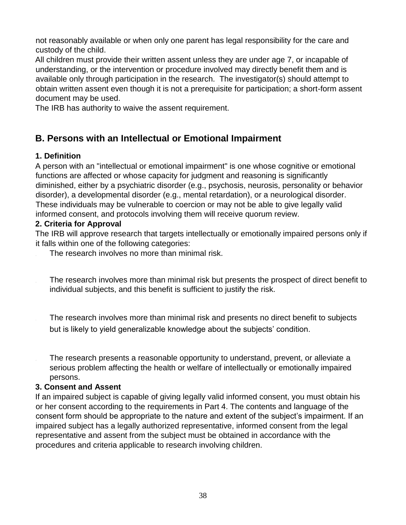not reasonably available or when only one parent has legal responsibility for the care and custody of the child.

All children must provide their written assent unless they are under age 7, or incapable of understanding, or the intervention or procedure involved may directly benefit them and is available only through participation in the research. The investigator(s) should attempt to obtain written assent even though it is not a prerequisite for participation; a short-form assent document may be used.

The IRB has authority to waive the assent requirement.

## <span id="page-37-0"></span>**B. Persons with an Intellectual or Emotional Impairment**

#### **1. Definition**

A person with an "intellectual or emotional impairment" is one whose cognitive or emotional functions are affected or whose capacity for judgment and reasoning is significantly diminished, either by a psychiatric disorder (e.g., psychosis, neurosis, personality or behavior disorder), a developmental disorder (e.g., mental retardation), or a neurological disorder. These individuals may be vulnerable to coercion or may not be able to give legally valid informed consent, and protocols involving them will receive quorum review.

#### **2. Criteria for Approval**

The IRB will approve research that targets intellectually or emotionally impaired persons only if it falls within one of the following categories:

The research involves no more than minimal risk.

The research involves more than minimal risk but presents the prospect of direct benefit to individual subjects, and this benefit is sufficient to justify the risk.

The research involves more than minimal risk and presents no direct benefit to subjects but is likely to yield generalizable knowledge about the subjects' condition.

The research presents a reasonable opportunity to understand, prevent, or alleviate a serious problem affecting the health or welfare of intellectually or emotionally impaired persons.

#### **3. Consent and Assent**

If an impaired subject is capable of giving legally valid informed consent, you must obtain his or her consent according to the requirements in Part 4. The contents and language of the consent form should be appropriate to the nature and extent of the subject's impairment. If an impaired subject has a legally authorized representative, informed consent from the legal representative and assent from the subject must be obtained in accordance with the procedures and criteria applicable to research involving children.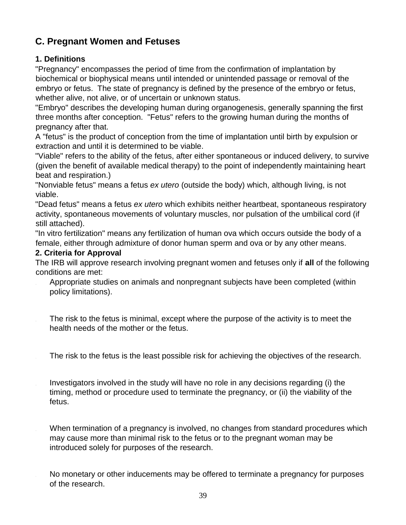# <span id="page-38-0"></span>**C. Pregnant Women and Fetuses**

### **1. Definitions**

"Pregnancy" encompasses the period of time from the confirmation of implantation by biochemical or biophysical means until intended or unintended passage or removal of the embryo or fetus. The state of pregnancy is defined by the presence of the embryo or fetus, whether alive, not alive, or of uncertain or unknown status.

"Embryo" describes the developing human during organogenesis, generally spanning the first three months after conception. "Fetus" refers to the growing human during the months of pregnancy after that.

A "fetus" is the product of conception from the time of implantation until birth by expulsion or extraction and until it is determined to be viable.

"Viable" refers to the ability of the fetus, after either spontaneous or induced delivery, to survive (given the benefit of available medical therapy) to the point of independently maintaining heart beat and respiration.)

"Nonviable fetus" means a fetus *ex utero* (outside the body) which, although living, is not viable.

"Dead fetus" means a fetus *ex utero* which exhibits neither heartbeat, spontaneous respiratory activity, spontaneous movements of voluntary muscles, nor pulsation of the umbilical cord (if still attached).

"In vitro fertilization" means any fertilization of human ova which occurs outside the body of a female, either through admixture of donor human sperm and ova or by any other means.

#### **2. Criteria for Approval**

The IRB will approve research involving pregnant women and fetuses only if **all** of the following conditions are met:

Appropriate studies on animals and nonpregnant subjects have been completed (within policy limitations).

The risk to the fetus is minimal, except where the purpose of the activity is to meet the health needs of the mother or the fetus.

The risk to the fetus is the least possible risk for achieving the objectives of the research.

Investigators involved in the study will have no role in any decisions regarding (i) the timing, method or procedure used to terminate the pregnancy, or (ii) the viability of the fetus.

When termination of a pregnancy is involved, no changes from standard procedures which may cause more than minimal risk to the fetus or to the pregnant woman may be introduced solely for purposes of the research.

No monetary or other inducements may be offered to terminate a pregnancy for purposes of the research.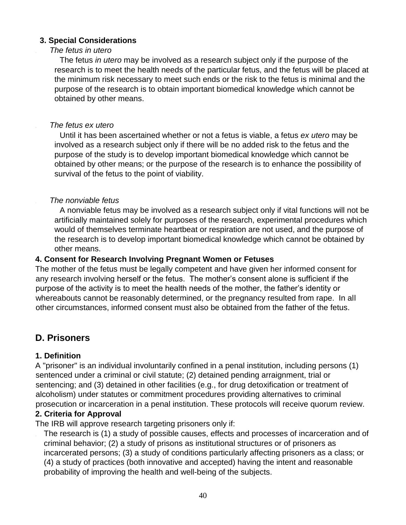#### **3. Special Considerations**

#### a. *The fetus in utero*

The fetus *in utero* may be involved as a research subject only if the purpose of the research is to meet the health needs of the particular fetus, and the fetus will be placed at the minimum risk necessary to meet such ends or the risk to the fetus is minimal and the purpose of the research is to obtain important biomedical knowledge which cannot be obtained by other means.

#### b. *The fetus ex utero*

Until it has been ascertained whether or not a fetus is viable, a fetus *ex utero* may be involved as a research subject only if there will be no added risk to the fetus and the purpose of the study is to develop important biomedical knowledge which cannot be obtained by other means; or the purpose of the research is to enhance the possibility of survival of the fetus to the point of viability.

#### **The nonviable fetus**

A nonviable fetus may be involved as a research subject only if vital functions will not be artificially maintained solely for purposes of the research, experimental procedures which would of themselves terminate heartbeat or respiration are not used, and the purpose of the research is to develop important biomedical knowledge which cannot be obtained by other means.

#### **4. Consent for Research Involving Pregnant Women or Fetuses**

The mother of the fetus must be legally competent and have given her informed consent for any research involving herself or the fetus. The mother's consent alone is sufficient if the purpose of the activity is to meet the health needs of the mother, the father's identity or whereabouts cannot be reasonably determined, or the pregnancy resulted from rape. In all other circumstances, informed consent must also be obtained from the father of the fetus.

### <span id="page-39-0"></span>**D. Prisoners**

#### **1. Definition**

A "prisoner" is an individual involuntarily confined in a penal institution, including persons (1) sentenced under a criminal or civil statute; (2) detained pending arraignment, trial or sentencing; and (3) detained in other facilities (e.g., for drug detoxification or treatment of alcoholism) under statutes or commitment procedures providing alternatives to criminal prosecution or incarceration in a penal institution. These protocols will receive quorum review.

#### **2. Criteria for Approval**

The IRB will approve research targeting prisoners only if:

The research is (1) a study of possible causes, effects and processes of incarceration and of criminal behavior; (2) a study of prisons as institutional structures or of prisoners as incarcerated persons; (3) a study of conditions particularly affecting prisoners as a class; or (4) a study of practices (both innovative and accepted) having the intent and reasonable probability of improving the health and well-being of the subjects.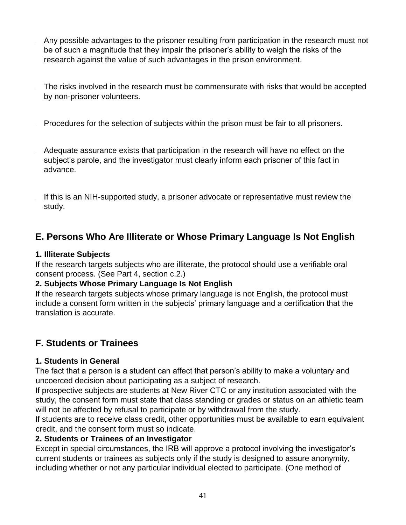- b. Any possible advantages to the prisoner resulting from participation in the research must not be of such a magnitude that they impair the prisoner's ability to weigh the risks of the research against the value of such advantages in the prison environment.
- The risks involved in the research must be commensurate with risks that would be accepted by non-prisoner volunteers.
- Procedures for the selection of subjects within the prison must be fair to all prisoners.
- Adequate assurance exists that participation in the research will have no effect on the subject's parole, and the investigator must clearly inform each prisoner of this fact in advance.
- If this is an NIH-supported study, a prisoner advocate or representative must review the study.

## <span id="page-40-0"></span>**E. Persons Who Are Illiterate or Whose Primary Language Is Not English**

#### **1. Illiterate Subjects**

If the research targets subjects who are illiterate, the protocol should use a verifiable oral consent process. (See Part 4, section c.2.)

#### **2. Subjects Whose Primary Language Is Not English**

If the research targets subjects whose primary language is not English, the protocol must include a consent form written in the subjects' primary language and a certification that the translation is accurate.

### <span id="page-40-1"></span>**F. Students or Trainees**

#### **1. Students in General**

The fact that a person is a student can affect that person's ability to make a voluntary and uncoerced decision about participating as a subject of research.

If prospective subjects are students at New River CTC or any institution associated with the study, the consent form must state that class standing or grades or status on an athletic team will not be affected by refusal to participate or by withdrawal from the study.

If students are to receive class credit, other opportunities must be available to earn equivalent credit, and the consent form must so indicate.

#### **2. Students or Trainees of an Investigator**

Except in special circumstances, the IRB will approve a protocol involving the investigator's current students or trainees as subjects only if the study is designed to assure anonymity, including whether or not any particular individual elected to participate. (One method of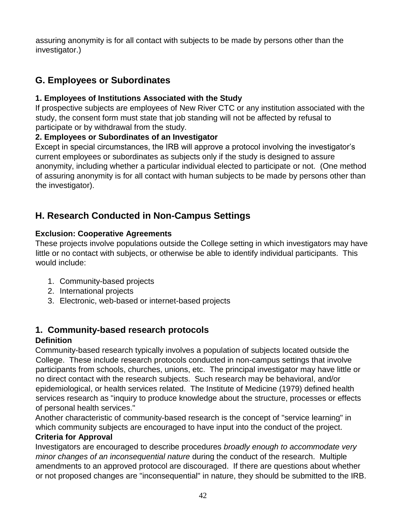assuring anonymity is for all contact with subjects to be made by persons other than the investigator.)

# <span id="page-41-0"></span>**G. Employees or Subordinates**

### **1. Employees of Institutions Associated with the Study**

If prospective subjects are employees of New River CTC or any institution associated with the study, the consent form must state that job standing will not be affected by refusal to participate or by withdrawal from the study.

### **2. Employees or Subordinates of an Investigator**

Except in special circumstances, the IRB will approve a protocol involving the investigator's current employees or subordinates as subjects only if the study is designed to assure anonymity, including whether a particular individual elected to participate or not. (One method of assuring anonymity is for all contact with human subjects to be made by persons other than the investigator).

# <span id="page-41-1"></span>**H. Research Conducted in Non-Campus Settings**

### **Exclusion: Cooperative Agreements**

These projects involve populations outside the College setting in which investigators may have little or no contact with subjects, or otherwise be able to identify individual participants. This would include:

- 1. Community-based projects
- 2. International projects
- 3. Electronic, web-based or internet-based projects

## **1. Community-based research protocols**

### **Definition**

Community-based research typically involves a population of subjects located outside the College. These include research protocols conducted in non-campus settings that involve participants from schools, churches, unions, etc. The principal investigator may have little or no direct contact with the research subjects. Such research may be behavioral, and/or epidemiological, or health services related. The Institute of Medicine (1979) defined health services research as "inquiry to produce knowledge about the structure, processes or effects of personal health services."

Another characteristic of community-based research is the concept of "service learning" in which community subjects are encouraged to have input into the conduct of the project.

#### **Criteria for Approval**

Investigators are encouraged to describe procedures *broadly enough to accommodate very minor changes of an inconsequential nature* during the conduct of the research. Multiple amendments to an approved protocol are discouraged. If there are questions about whether or not proposed changes are "inconsequential" in nature, they should be submitted to the IRB.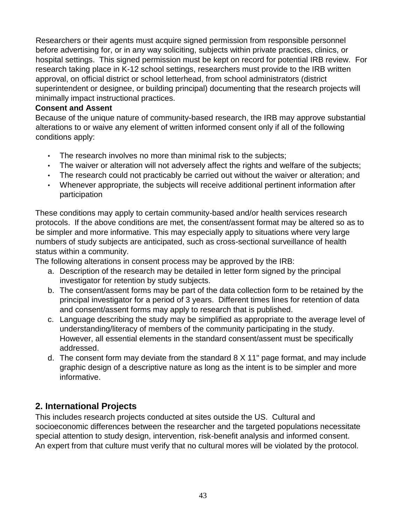Researchers or their agents must acquire signed permission from responsible personnel before advertising for, or in any way soliciting, subjects within private practices, clinics, or hospital settings. This signed permission must be kept on record for potential IRB review. For research taking place in K-12 school settings, researchers must provide to the IRB written approval, on official district or school letterhead, from school administrators (district superintendent or designee, or building principal) documenting that the research projects will minimally impact instructional practices.

#### **Consent and Assent**

Because of the unique nature of community-based research, the IRB may approve substantial alterations to or waive any element of written informed consent only if all of the following conditions apply:

- The research involves no more than minimal risk to the subjects;
- The waiver or alteration will not adversely affect the rights and welfare of the subjects;
- The research could not practicably be carried out without the waiver or alteration; and
- Whenever appropriate, the subjects will receive additional pertinent information after participation

These conditions may apply to certain community-based and/or health services research protocols. If the above conditions are met, the consent/assent format may be altered so as to be simpler and more informative. This may especially apply to situations where very large numbers of study subjects are anticipated, such as cross-sectional surveillance of health status within a community.

The following alterations in consent process may be approved by the IRB:

- a. Description of the research may be detailed in letter form signed by the principal investigator for retention by study subjects.
- b. The consent/assent forms may be part of the data collection form to be retained by the principal investigator for a period of 3 years. Different times lines for retention of data and consent/assent forms may apply to research that is published.
- c. Language describing the study may be simplified as appropriate to the average level of understanding/literacy of members of the community participating in the study. However, all essential elements in the standard consent/assent must be specifically addressed.
- d. The consent form may deviate from the standard 8 X 11" page format, and may include graphic design of a descriptive nature as long as the intent is to be simpler and more informative.

### **2. International Projects**

This includes research projects conducted at sites outside the US. Cultural and socioeconomic differences between the researcher and the targeted populations necessitate special attention to study design, intervention, risk-benefit analysis and informed consent. An expert from that culture must verify that no cultural mores will be violated by the protocol.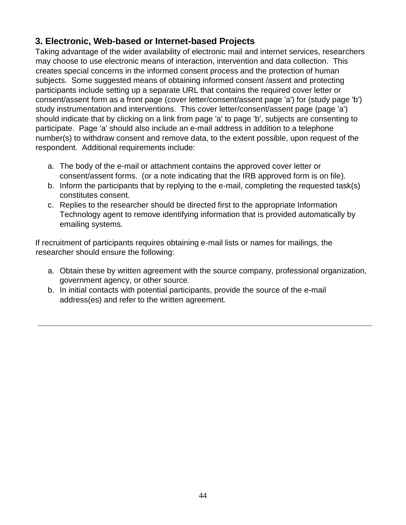## **3. Electronic, Web-based or Internet-based Projects**

Taking advantage of the wider availability of electronic mail and internet services, researchers may choose to use electronic means of interaction, intervention and data collection. This creates special concerns in the informed consent process and the protection of human subjects. Some suggested means of obtaining informed consent /assent and protecting participants include setting up a separate URL that contains the required cover letter or consent/assent form as a front page (cover letter/consent/assent page 'a') for (study page 'b') study instrumentation and interventions. This cover letter/consent/assent page (page 'a') should indicate that by clicking on a link from page 'a' to page 'b', subjects are consenting to participate. Page 'a' should also include an e-mail address in addition to a telephone number(s) to withdraw consent and remove data, to the extent possible, upon request of the respondent. Additional requirements include:

- a. The body of the e-mail or attachment contains the approved cover letter or consent/assent forms. (or a note indicating that the IRB approved form is on file).
- b. Inform the participants that by replying to the e-mail, completing the requested task(s) constitutes consent.
- c. Replies to the researcher should be directed first to the appropriate Information Technology agent to remove identifying information that is provided automatically by emailing systems.

If recruitment of participants requires obtaining e-mail lists or names for mailings, the researcher should ensure the following:

- a. Obtain these by written agreement with the source company, professional organization, government agency, or other source.
- b. In initial contacts with potential participants, provide the source of the e-mail address(es) and refer to the written agreement.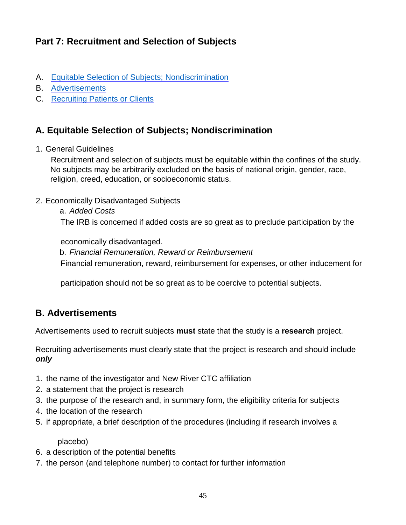# <span id="page-44-0"></span>**Part 7: Recruitment and Selection of Subjects**

- A. [Equitable Selection of Subjects; Nondiscrimination](#page-44-1)
- B. [Advertisements](#page-44-2)
- C. [Recruiting Patients or Clients](#page-45-0)

### <span id="page-44-1"></span>**A. Equitable Selection of Subjects; Nondiscrimination**

#### 1. General Guidelines

Recruitment and selection of subjects must be equitable within the confines of the study. No subjects may be arbitrarily excluded on the basis of national origin, gender, race, religion, creed, education, or socioeconomic status.

- 2. Economically Disadvantaged Subjects
	- a. *Added Costs*

The IRB is concerned if added costs are so great as to preclude participation by the

economically disadvantaged.

b. *Financial Remuneration, Reward or Reimbursement*  Financial remuneration, reward, reimbursement for expenses, or other inducement for

participation should not be so great as to be coercive to potential subjects.

### <span id="page-44-2"></span>**B. Advertisements**

Advertisements used to recruit subjects **must** state that the study is a **research** project.

Recruiting advertisements must clearly state that the project is research and should include *only* 

- 1. the name of the investigator and New River CTC affiliation
- 2. a statement that the project is research
- 3. the purpose of the research and, in summary form, the eligibility criteria for subjects
- 4. the location of the research
- 5. if appropriate, a brief description of the procedures (including if research involves a

placebo)

- 6. a description of the potential benefits
- 7. the person (and telephone number) to contact for further information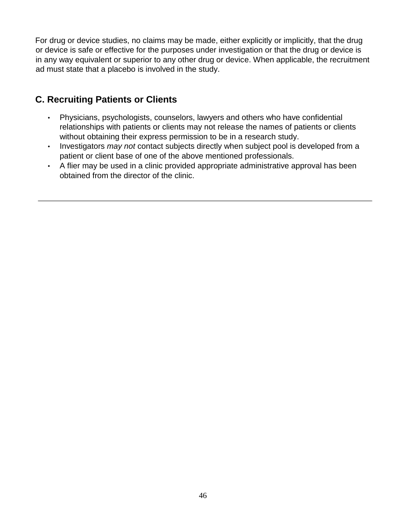For drug or device studies, no claims may be made, either explicitly or implicitly, that the drug or device is safe or effective for the purposes under investigation or that the drug or device is in any way equivalent or superior to any other drug or device. When applicable, the recruitment ad must state that a placebo is involved in the study.

# <span id="page-45-0"></span>**C. Recruiting Patients or Clients**

- Physicians, psychologists, counselors, lawyers and others who have confidential relationships with patients or clients may not release the names of patients or clients without obtaining their express permission to be in a research study.
- Investigators *may not* contact subjects directly when subject pool is developed from a patient or client base of one of the above mentioned professionals.
- A flier may be used in a clinic provided appropriate administrative approval has been obtained from the director of the clinic.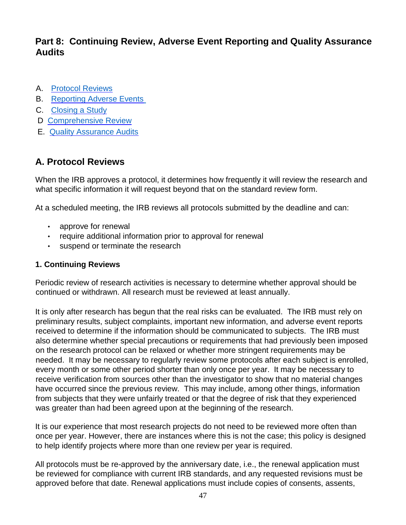## <span id="page-46-0"></span>**Part 8: Continuing Review, Adverse Event Reporting and Quality Assurance Audits**

- A. [Protocol Reviews](#page-46-1)
- B. [Reporting Adverse Events](#page-47-0)
- C. [Closing a Study](#page-48-1)
- D [Comprehensive Review](#page-48-2)
- E. [Quality Assurance Audits](#page-48-3)

### <span id="page-46-1"></span>**A. Protocol Reviews**

When the IRB approves a protocol, it determines how frequently it will review the research and what specific information it will request beyond that on the standard review form.

At a scheduled meeting, the IRB reviews all protocols submitted by the deadline and can:

- approve for renewal
- require additional information prior to approval for renewal
- suspend or terminate the research

#### **1. Continuing Reviews**

Periodic review of research activities is necessary to determine whether approval should be continued or withdrawn. All research must be reviewed at least annually.

It is only after research has begun that the real risks can be evaluated. The IRB must rely on preliminary results, subject complaints, important new information, and adverse event reports received to determine if the information should be communicated to subjects. The IRB must also determine whether special precautions or requirements that had previously been imposed on the research protocol can be relaxed or whether more stringent requirements may be needed. It may be necessary to regularly review some protocols after each subject is enrolled, every month or some other period shorter than only once per year. It may be necessary to receive verification from sources other than the investigator to show that no material changes have occurred since the previous review. This may include, among other things, information from subjects that they were unfairly treated or that the degree of risk that they experienced was greater than had been agreed upon at the beginning of the research.

It is our experience that most research projects do not need to be reviewed more often than once per year. However, there are instances where this is not the case; this policy is designed to help identify projects where more than one review per year is required.

All protocols must be re-approved by the anniversary date, i.e., the renewal application must be reviewed for compliance with current IRB standards, and any requested revisions must be approved before that date. Renewal applications must include copies of consents, assents,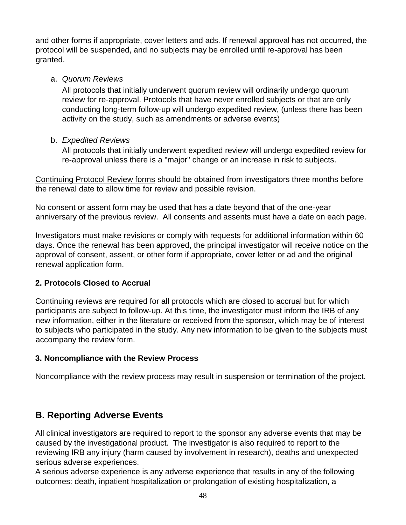and other forms if appropriate, cover letters and ads. If renewal approval has not occurred, the protocol will be suspended, and no subjects may be enrolled until re-approval has been granted.

#### a. *Quorum Reviews*

All protocols that initially underwent quorum review will ordinarily undergo quorum review for re-approval. Protocols that have never enrolled subjects or that are only conducting long-term follow-up will undergo expedited review, (unless there has been activity on the study, such as amendments or adverse events)

### b. *Expedited Reviews*

All protocols that initially underwent expedited review will undergo expedited review for re-approval unless there is a "major" change or an increase in risk to subjects.

Continuing Protocol Review forms should be obtained from investigators three months before the renewal date to allow time for review and possible revision.

No consent or assent form may be used that has a date beyond that of the one-year anniversary of the previous review. All consents and assents must have a date on each page.

Investigators must make revisions or comply with requests for additional information within 60 days. Once the renewal has been approved, the principal investigator will receive notice on the approval of consent, assent, or other form if appropriate, cover letter or ad and the original renewal application form.

### **2. Protocols Closed to Accrual**

Continuing reviews are required for all protocols which are closed to accrual but for which participants are subject to follow-up. At this time, the investigator must inform the IRB of any new information, either in the literature or received from the sponsor, which may be of interest to subjects who participated in the study. Any new information to be given to the subjects must accompany the review form.

### **3. Noncompliance with the Review Process**

Noncompliance with the review process may result in suspension or termination of the project.

# <span id="page-47-0"></span>**B. Reporting Adverse Events**

All clinical investigators are required to report to the sponsor any adverse events that may be caused by the investigational product. The investigator is also required to report to the reviewing IRB any injury (harm caused by involvement in research), deaths and unexpected serious adverse experiences.

A serious adverse experience is any adverse experience that results in any of the following outcomes: death, inpatient hospitalization or prolongation of existing hospitalization, a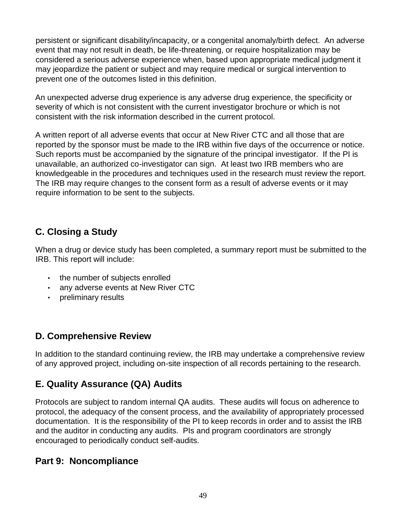persistent or significant disability/incapacity, or a congenital anomaly/birth defect. An adverse event that may not result in death, be life-threatening, or require hospitalization may be considered a serious adverse experience when, based upon appropriate medical judgment it may jeopardize the patient or subject and may require medical or surgical intervention to prevent one of the outcomes listed in this definition.

An unexpected adverse drug experience is any adverse drug experience, the specificity or severity of which is not consistent with the current investigator brochure or which is not consistent with the risk information described in the current protocol.

A written report of all adverse events that occur at New River CTC and all those that are reported by the sponsor must be made to the IRB within five days of the occurrence or notice. Such reports must be accompanied by the signature of the principal investigator. If the PI is unavailable, an authorized co-investigator can sign. At least two IRB members who are knowledgeable in the procedures and techniques used in the research must review the report. The IRB may require changes to the consent form as a result of adverse events or it may require information to be sent to the subjects.

# <span id="page-48-1"></span>**C. Closing a Study**

When a drug or device study has been completed, a summary report must be submitted to the IRB. This report will include:

- the number of subjects enrolled
- any adverse events at New River CTC
- preliminary results

# <span id="page-48-2"></span>**D. Comprehensive Review**

In addition to the standard continuing review, the IRB may undertake a comprehensive review of any approved project, including on-site inspection of all records pertaining to the research.

# <span id="page-48-3"></span>**E. Quality Assurance (QA) Audits**

Protocols are subject to random internal QA audits. These audits will focus on adherence to protocol, the adequacy of the consent process, and the availability of appropriately processed documentation. It is the responsibility of the PI to keep records in order and to assist the IRB and the auditor in conducting any audits. PIs and program coordinators are strongly encouraged to periodically conduct self-audits.

### <span id="page-48-0"></span>**Part 9: Noncompliance**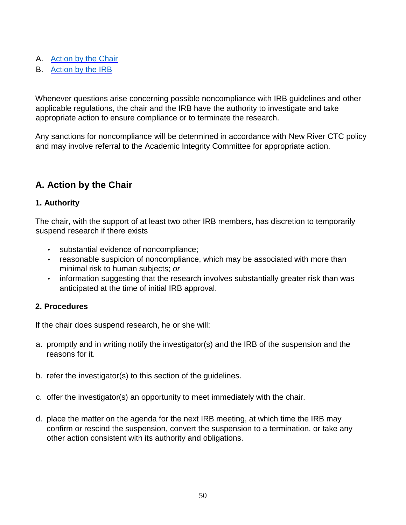- A. [Action by the Chair](#page-49-0)
- B. [Action by the IRB](#page-50-0)

Whenever questions arise concerning possible noncompliance with IRB guidelines and other applicable regulations, the chair and the IRB have the authority to investigate and take appropriate action to ensure compliance or to terminate the research.

Any sanctions for noncompliance will be determined in accordance with New River CTC policy and may involve referral to the Academic Integrity Committee for appropriate action.

# <span id="page-49-0"></span>**A. Action by the Chair**

#### **1. Authority**

The chair, with the support of at least two other IRB members, has discretion to temporarily suspend research if there exists

- substantial evidence of noncompliance;
- reasonable suspicion of noncompliance, which may be associated with more than minimal risk to human subjects; *or*
- information suggesting that the research involves substantially greater risk than was anticipated at the time of initial IRB approval.

#### **2. Procedures**

If the chair does suspend research, he or she will:

- a. promptly and in writing notify the investigator(s) and the IRB of the suspension and the reasons for it.
- b. refer the investigator(s) to this section of the guidelines.
- c. offer the investigator(s) an opportunity to meet immediately with the chair.
- d. place the matter on the agenda for the next IRB meeting, at which time the IRB may confirm or rescind the suspension, convert the suspension to a termination, or take any other action consistent with its authority and obligations.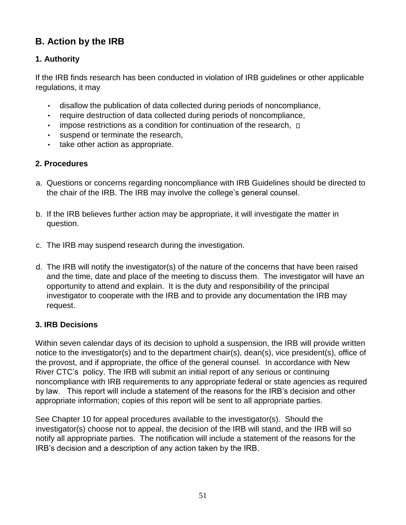# <span id="page-50-0"></span>**B. Action by the IRB**

### **1. Authority**

If the IRB finds research has been conducted in violation of IRB guidelines or other applicable regulations, it may

- disallow the publication of data collected during periods of noncompliance,
- require destruction of data collected during periods of noncompliance,
- impose restrictions as a condition for continuation of the research,  $\Box$
- suspend or terminate the research,
- take other action as appropriate.

### **2. Procedures**

- a. Questions or concerns regarding noncompliance with IRB Guidelines should be directed to the chair of the IRB. The IRB may involve the college's general counsel.
- b. If the IRB believes further action may be appropriate, it will investigate the matter in question.
- c. The IRB may suspend research during the investigation.
- d. The IRB will notify the investigator(s) of the nature of the concerns that have been raised and the time, date and place of the meeting to discuss them. The investigator will have an opportunity to attend and explain. It is the duty and responsibility of the principal investigator to cooperate with the IRB and to provide any documentation the IRB may request.

#### **3. IRB Decisions**

Within seven calendar days of its decision to uphold a suspension, the IRB will provide written notice to the investigator(s) and to the department chair(s), dean(s), vice president(s), office of the provost, and if appropriate, the office of the general counsel. In accordance with New River CTC's policy. The IRB will submit an initial report of any serious or continuing noncompliance with IRB requirements to any appropriate federal or state agencies as required by law. This report will include a statement of the reasons for the IRB's decision and other appropriate information; copies of this report will be sent to all appropriate parties.

See Chapter 10 for appeal procedures available to the investigator(s). Should the investigator(s) choose not to appeal, the decision of the IRB will stand, and the IRB will so notify all appropriate parties. The notification will include a statement of the reasons for the IRB's decision and a description of any action taken by the IRB.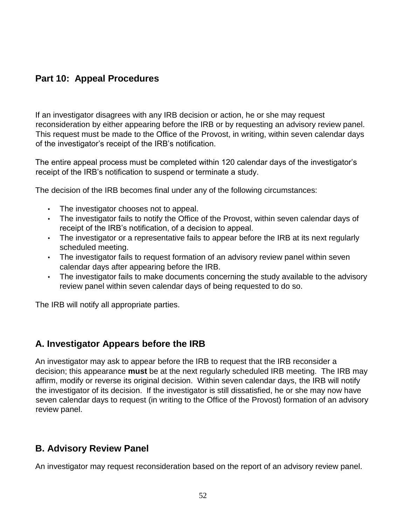# <span id="page-51-0"></span>**Part 10: Appeal Procedures**

If an investigator disagrees with any IRB decision or action, he or she may request reconsideration by either appearing before the IRB or by requesting an advisory review panel. This request must be made to the Office of the Provost, in writing, within seven calendar days of the investigator's receipt of the IRB's notification.

The entire appeal process must be completed within 120 calendar days of the investigator's receipt of the IRB's notification to suspend or terminate a study.

The decision of the IRB becomes final under any of the following circumstances:

- The investigator chooses not to appeal.
- The investigator fails to notify the Office of the Provost, within seven calendar days of receipt of the IRB's notification, of a decision to appeal.
- The investigator or a representative fails to appear before the IRB at its next regularly scheduled meeting.
- The investigator fails to request formation of an advisory review panel within seven calendar days after appearing before the IRB.
- The investigator fails to make documents concerning the study available to the advisory review panel within seven calendar days of being requested to do so.

The IRB will notify all appropriate parties.

### **A. Investigator Appears before the IRB**

An investigator may ask to appear before the IRB to request that the IRB reconsider a decision; this appearance **must** be at the next regularly scheduled IRB meeting. The IRB may affirm, modify or reverse its original decision. Within seven calendar days, the IRB will notify the investigator of its decision. If the investigator is still dissatisfied, he or she may now have seven calendar days to request (in writing to the Office of the Provost) formation of an advisory review panel.

### **B. Advisory Review Panel**

An investigator may request reconsideration based on the report of an advisory review panel.